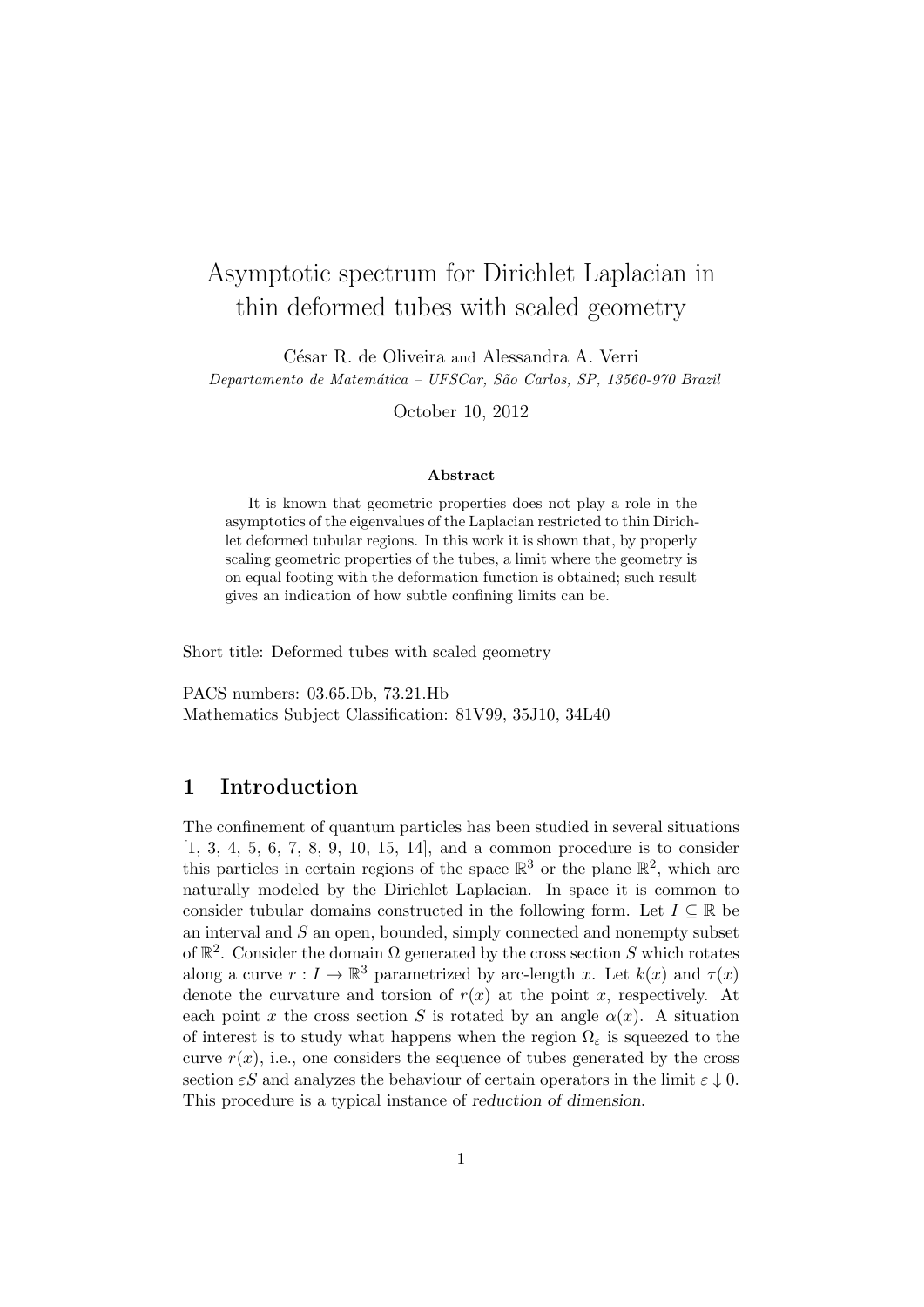# Asymptotic spectrum for Dirichlet Laplacian in thin deformed tubes with scaled geometry

César R. de Oliveira and Alessandra A. Verri Departamento de Matemática – UFSCar, São Carlos, SP, 13560-970 Brazil

October 10, 2012

#### Abstract

It is known that geometric properties does not play a role in the asymptotics of the eigenvalues of the Laplacian restricted to thin Dirichlet deformed tubular regions. In this work it is shown that, by properly scaling geometric properties of the tubes, a limit where the geometry is on equal footing with the deformation function is obtained; such result gives an indication of how subtle confining limits can be.

Short title: Deformed tubes with scaled geometry

PACS numbers: 03.65.Db, 73.21.Hb Mathematics Subject Classification: 81V99, 35J10, 34L40

### 1 Introduction

The confinement of quantum particles has been studied in several situations [1, 3, 4, 5, 6, 7, 8, 9, 10, 15, 14], and a common procedure is to consider this particles in certain regions of the space  $\mathbb{R}^3$  or the plane  $\mathbb{R}^2$ , which are naturally modeled by the Dirichlet Laplacian. In space it is common to consider tubular domains constructed in the following form. Let  $I \subseteq \mathbb{R}$  be an interval and  $S$  an open, bounded, simply connected and nonempty subset of  $\mathbb{R}^2$ . Consider the domain  $\Omega$  generated by the cross section S which rotates along a curve  $r: I \to \mathbb{R}^3$  parametrized by arc-length x. Let  $k(x)$  and  $\tau(x)$ denote the curvature and torsion of  $r(x)$  at the point x, respectively. At each point x the cross section S is rotated by an angle  $\alpha(x)$ . A situation of interest is to study what happens when the region  $\Omega_{\varepsilon}$  is squeezed to the curve  $r(x)$ , i.e., one considers the sequence of tubes generated by the cross section  $\epsilon S$  and analyzes the behaviour of certain operators in the limit  $\epsilon \downarrow 0$ . This procedure is a typical instance of reduction of dimension.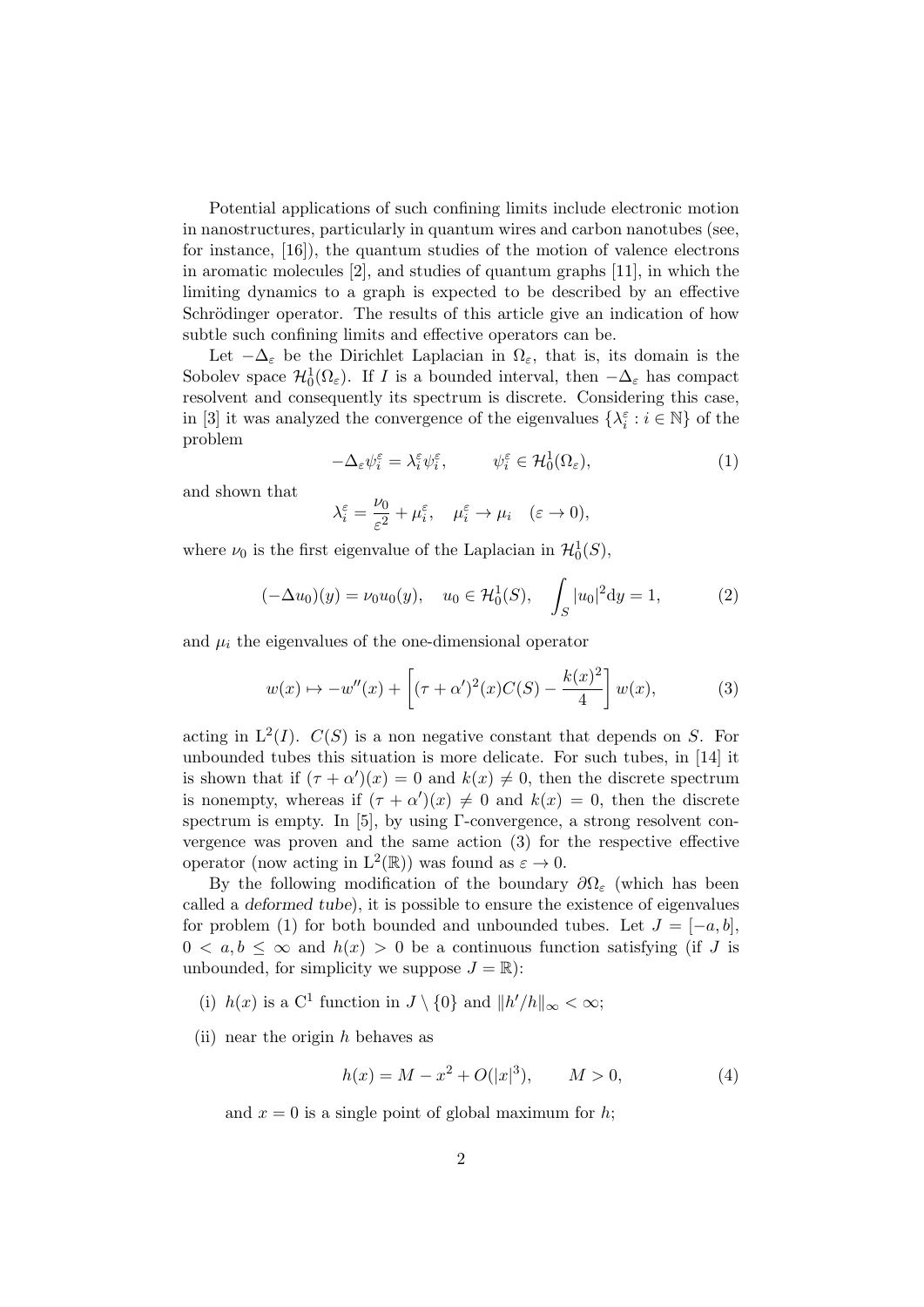Potential applications of such confining limits include electronic motion in nanostructures, particularly in quantum wires and carbon nanotubes (see, for instance, [16]), the quantum studies of the motion of valence electrons in aromatic molecules [2], and studies of quantum graphs [11], in which the limiting dynamics to a graph is expected to be described by an effective Schrödinger operator. The results of this article give an indication of how subtle such confining limits and effective operators can be.

Let  $-\Delta_{\varepsilon}$  be the Dirichlet Laplacian in  $\Omega_{\varepsilon}$ , that is, its domain is the Sobolev space  $\mathcal{H}^1_0(\Omega_\varepsilon)$ . If I is a bounded interval, then  $-\Delta_\varepsilon$  has compact resolvent and consequently its spectrum is discrete. Considering this case, in [3] it was analyzed the convergence of the eigenvalues  $\{\lambda_i^\varepsilon:i\in\mathbb{N}\}$  of the problem

$$
-\Delta_{\varepsilon}\psi_i^{\varepsilon} = \lambda_i^{\varepsilon}\psi_i^{\varepsilon}, \qquad \psi_i^{\varepsilon} \in \mathcal{H}_0^1(\Omega_{\varepsilon}), \tag{1}
$$

and shown that

$$
\lambda_i^\varepsilon=\frac{\nu_0}{\varepsilon^2}+\mu_i^\varepsilon,\quad \mu_i^\varepsilon\to\mu_i\quad(\varepsilon\to0),
$$

where  $\nu_0$  is the first eigenvalue of the Laplacian in  $\mathcal{H}_0^1(S)$ ,

$$
(-\Delta u_0)(y) = \nu_0 u_0(y), \quad u_0 \in \mathcal{H}_0^1(S), \quad \int_S |u_0|^2 dy = 1,
$$
 (2)

and  $\mu_i$  the eigenvalues of the one-dimensional operator

$$
w(x) \mapsto -w''(x) + \left[ (\tau + \alpha')^2(x)C(S) - \frac{k(x)^2}{4} \right] w(x), \tag{3}
$$

acting in  $L^2(I)$ .  $C(S)$  is a non negative constant that depends on S. For unbounded tubes this situation is more delicate. For such tubes, in [14] it is shown that if  $(\tau + \alpha')(x) = 0$  and  $k(x) \neq 0$ , then the discrete spectrum is nonempty, whereas if  $(\tau + \alpha')(x) \neq 0$  and  $k(x) = 0$ , then the discrete spectrum is empty. In [5], by using Γ-convergence, a strong resolvent convergence was proven and the same action (3) for the respective effective operator (now acting in  $L^2(\mathbb{R})$ ) was found as  $\varepsilon \to 0$ .

By the following modification of the boundary  $\partial\Omega_{\varepsilon}$  (which has been called a deformed tube), it is possible to ensure the existence of eigenvalues for problem (1) for both bounded and unbounded tubes. Let  $J = [-a, b]$ ,  $0 < a, b < \infty$  and  $h(x) > 0$  be a continuous function satisfying (if J is unbounded, for simplicity we suppose  $J = \mathbb{R}$ :

- (i)  $h(x)$  is a C<sup>1</sup> function in  $J \setminus \{0\}$  and  $||h'/h||_{\infty} < \infty$ ;
- (ii) near the origin  $h$  behaves as

$$
h(x) = M - x^2 + O(|x|^3), \qquad M > 0,
$$
\n(4)

and  $x = 0$  is a single point of global maximum for h;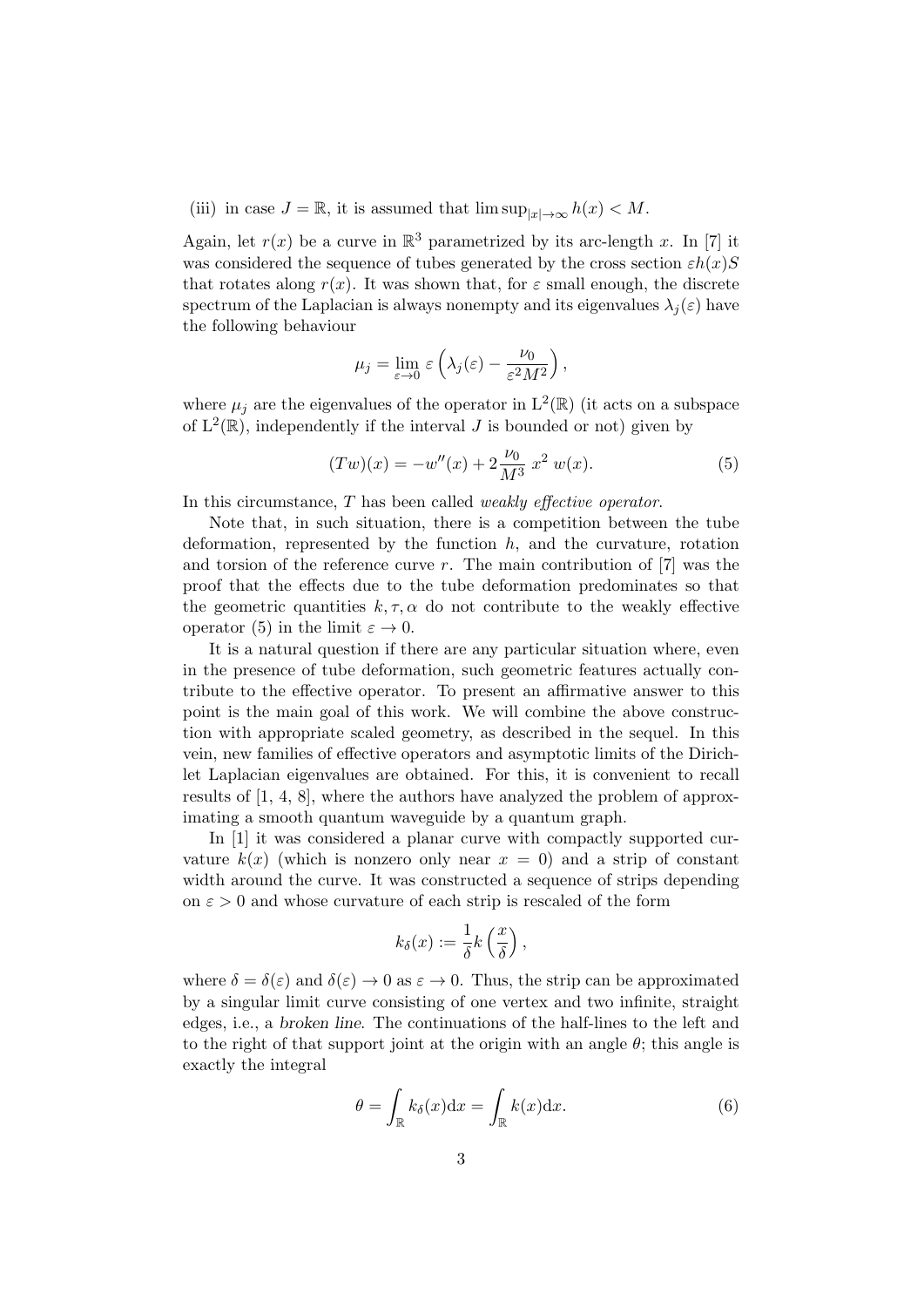(iii) in case  $J = \mathbb{R}$ , it is assumed that  $\limsup_{|x| \to \infty} h(x) < M$ .

Again, let  $r(x)$  be a curve in  $\mathbb{R}^3$  parametrized by its arc-length x. In [7] it was considered the sequence of tubes generated by the cross section  $\varepsilon h(x)S$ that rotates along  $r(x)$ . It was shown that, for  $\varepsilon$  small enough, the discrete spectrum of the Laplacian is always nonempty and its eigenvalues  $\lambda_i(\varepsilon)$  have the following behaviour

$$
\mu_j = \lim_{\varepsilon \to 0} \varepsilon \left( \lambda_j(\varepsilon) - \frac{\nu_0}{\varepsilon^2 M^2} \right),
$$

where  $\mu_j$  are the eigenvalues of the operator in  $L^2(\mathbb{R})$  (it acts on a subspace of  $L^2(\mathbb{R})$ , independently if the interval J is bounded or not) given by

$$
(Tw)(x) = -w''(x) + 2\frac{\nu_0}{M^3} x^2 w(x).
$$
 (5)

In this circumstance,  $T$  has been called *weakly effective operator*.

Note that, in such situation, there is a competition between the tube deformation, represented by the function  $h$ , and the curvature, rotation and torsion of the reference curve r. The main contribution of  $[7]$  was the proof that the effects due to the tube deformation predominates so that the geometric quantities  $k, \tau, \alpha$  do not contribute to the weakly effective operator (5) in the limit  $\varepsilon \to 0$ .

It is a natural question if there are any particular situation where, even in the presence of tube deformation, such geometric features actually contribute to the effective operator. To present an affirmative answer to this point is the main goal of this work. We will combine the above construction with appropriate scaled geometry, as described in the sequel. In this vein, new families of effective operators and asymptotic limits of the Dirichlet Laplacian eigenvalues are obtained. For this, it is convenient to recall results of [1, 4, 8], where the authors have analyzed the problem of approximating a smooth quantum waveguide by a quantum graph.

In [1] it was considered a planar curve with compactly supported curvature  $k(x)$  (which is nonzero only near  $x = 0$ ) and a strip of constant width around the curve. It was constructed a sequence of strips depending on  $\varepsilon > 0$  and whose curvature of each strip is rescaled of the form

$$
k_{\delta}(x) := \frac{1}{\delta} k\left(\frac{x}{\delta}\right),\,
$$

where  $\delta = \delta(\varepsilon)$  and  $\delta(\varepsilon) \to 0$  as  $\varepsilon \to 0$ . Thus, the strip can be approximated by a singular limit curve consisting of one vertex and two infinite, straight edges, i.e., a broken line. The continuations of the half-lines to the left and to the right of that support joint at the origin with an angle  $\theta$ ; this angle is exactly the integral

$$
\theta = \int_{\mathbb{R}} k_{\delta}(x) dx = \int_{\mathbb{R}} k(x) dx.
$$
 (6)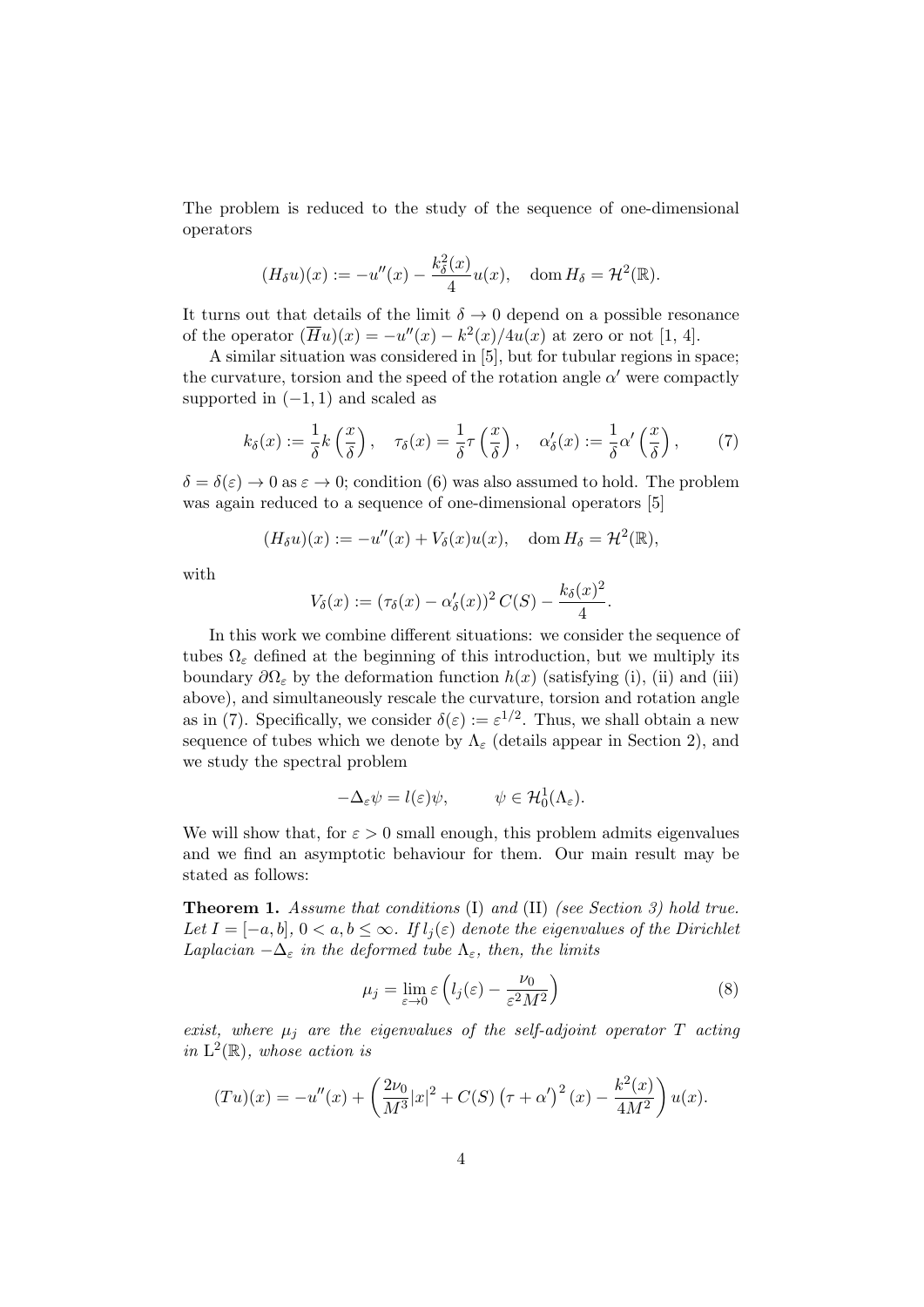The problem is reduced to the study of the sequence of one-dimensional operators

$$
(H_{\delta}u)(x) := -u''(x) - \frac{k_{\delta}^{2}(x)}{4}u(x), \quad \text{dom}\,H_{\delta} = \mathcal{H}^{2}(\mathbb{R}).
$$

It turns out that details of the limit  $\delta \to 0$  depend on a possible resonance of the operator  $(\overline{H}u)(x) = -u''(x) - k^2(x)/4u(x)$  at zero or not [1, 4].

A similar situation was considered in [5], but for tubular regions in space; the curvature, torsion and the speed of the rotation angle  $\alpha'$  were compactly supported in  $(-1, 1)$  and scaled as

$$
k_{\delta}(x) := \frac{1}{\delta} k\left(\frac{x}{\delta}\right), \quad \tau_{\delta}(x) = \frac{1}{\delta} \tau\left(\frac{x}{\delta}\right), \quad \alpha'_{\delta}(x) := \frac{1}{\delta} \alpha'\left(\frac{x}{\delta}\right), \tag{7}
$$

 $\delta = \delta(\varepsilon) \to 0$  as  $\varepsilon \to 0$ ; condition (6) was also assumed to hold. The problem was again reduced to a sequence of one-dimensional operators [5]

$$
(H_{\delta}u)(x) := -u''(x) + V_{\delta}(x)u(x), \quad \text{dom}\, H_{\delta} = \mathcal{H}^2(\mathbb{R}),
$$

with

$$
V_{\delta}(x) := (\tau_{\delta}(x) - \alpha'_{\delta}(x))^2 C(S) - \frac{k_{\delta}(x)^2}{4}.
$$

In this work we combine different situations: we consider the sequence of tubes  $\Omega_{\varepsilon}$  defined at the beginning of this introduction, but we multiply its boundary  $\partial\Omega_{\varepsilon}$  by the deformation function  $h(x)$  (satisfying (i), (ii) and (iii) above), and simultaneously rescale the curvature, torsion and rotation angle as in (7). Specifically, we consider  $\delta(\varepsilon) := \varepsilon^{1/2}$ . Thus, we shall obtain a new sequence of tubes which we denote by  $\Lambda_{\varepsilon}$  (details appear in Section 2), and we study the spectral problem

$$
-\Delta_{\varepsilon}\psi = l(\varepsilon)\psi, \qquad \psi \in \mathcal{H}_0^1(\Lambda_{\varepsilon}).
$$

We will show that, for  $\varepsilon > 0$  small enough, this problem admits eigenvalues and we find an asymptotic behaviour for them. Our main result may be stated as follows:

Theorem 1. Assume that conditions (I) and (II) (see Section 3) hold true. Let  $I = [-a, b], 0 < a, b \leq \infty$ . If  $l_i(\varepsilon)$  denote the eigenvalues of the Dirichlet Laplacian  $-\Delta_{\varepsilon}$  in the deformed tube  $\Lambda_{\varepsilon}$ , then, the limits

$$
\mu_j = \lim_{\varepsilon \to 0} \varepsilon \left( l_j(\varepsilon) - \frac{\nu_0}{\varepsilon^2 M^2} \right) \tag{8}
$$

exist, where  $\mu_j$  are the eigenvalues of the self-adjoint operator T acting in  $L^2(\mathbb{R})$ , whose action is

$$
(Tu)(x) = -u''(x) + \left(\frac{2\nu_0}{M^3}|x|^2 + C(S)\left(\tau + \alpha'\right)^2(x) - \frac{k^2(x)}{4M^2}\right)u(x).
$$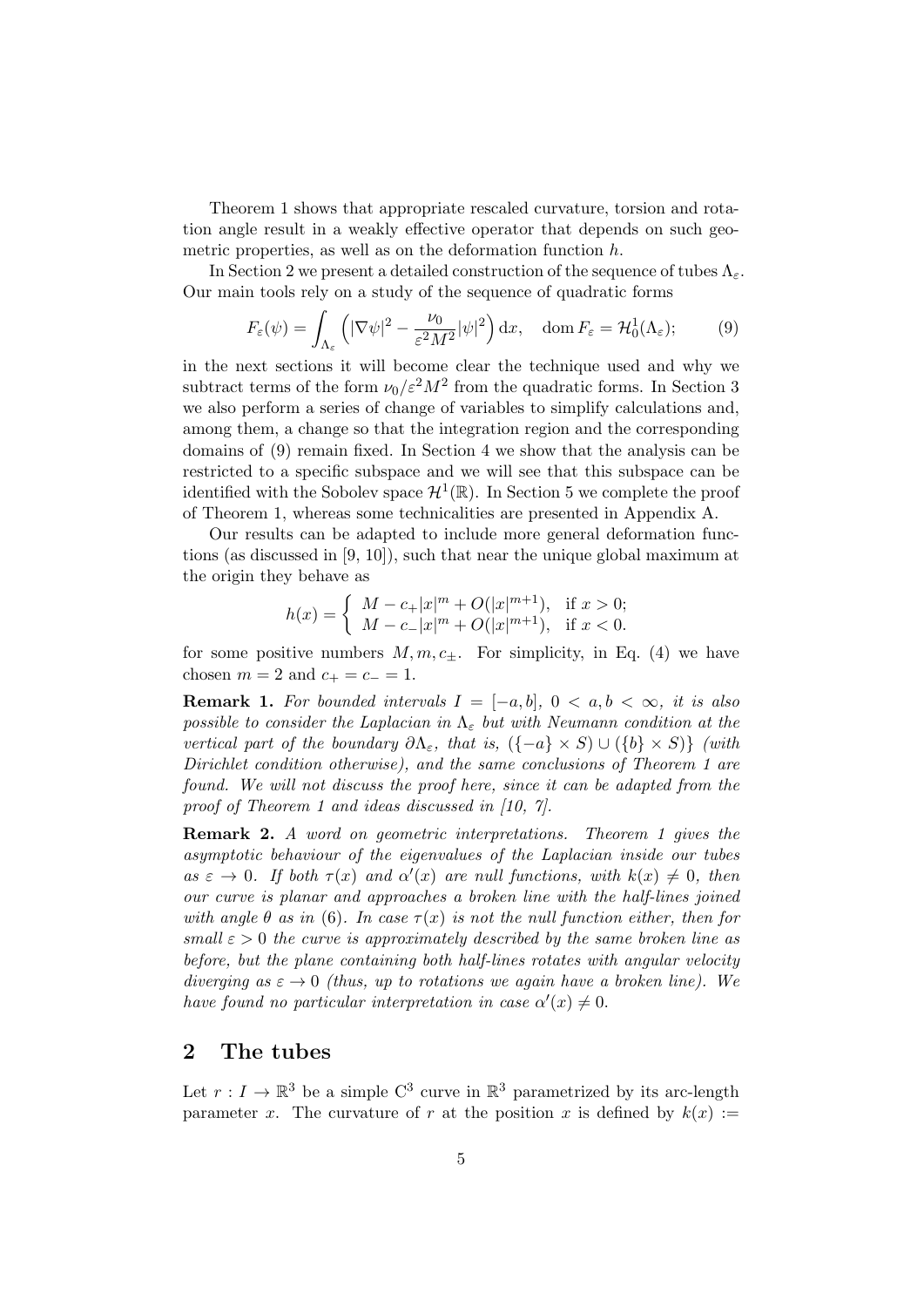Theorem 1 shows that appropriate rescaled curvature, torsion and rotation angle result in a weakly effective operator that depends on such geometric properties, as well as on the deformation function h.

In Section 2 we present a detailed construction of the sequence of tubes  $\Lambda_{\varepsilon}$ . Our main tools rely on a study of the sequence of quadratic forms

$$
F_{\varepsilon}(\psi) = \int_{\Lambda_{\varepsilon}} \left( |\nabla \psi|^2 - \frac{\nu_0}{\varepsilon^2 M^2} |\psi|^2 \right) dx, \quad \text{dom}\, F_{\varepsilon} = \mathcal{H}_0^1(\Lambda_{\varepsilon});\tag{9}
$$

in the next sections it will become clear the technique used and why we subtract terms of the form  $\nu_0 / \varepsilon^2 M^2$  from the quadratic forms. In Section 3 we also perform a series of change of variables to simplify calculations and, among them, a change so that the integration region and the corresponding domains of (9) remain fixed. In Section 4 we show that the analysis can be restricted to a specific subspace and we will see that this subspace can be identified with the Sobolev space  $\mathcal{H}^1(\mathbb{R})$ . In Section 5 we complete the proof of Theorem 1, whereas some technicalities are presented in Appendix A.

Our results can be adapted to include more general deformation functions (as discussed in [9, 10]), such that near the unique global maximum at the origin they behave as

$$
h(x) = \begin{cases} M - c_{+}|x|^{m} + O(|x|^{m+1}), & \text{if } x > 0; \\ M - c_{-}|x|^{m} + O(|x|^{m+1}), & \text{if } x < 0. \end{cases}
$$

for some positive numbers  $M, m, c_{\pm}$ . For simplicity, in Eq. (4) we have chosen  $m = 2$  and  $c_{+} = c_{-} = 1$ .

**Remark 1.** For bounded intervals  $I = [-a, b], 0 < a, b < \infty$ , it is also possible to consider the Laplacian in  $\Lambda_{\varepsilon}$  but with Neumann condition at the vertical part of the boundary  $\partial \Lambda_{\varepsilon}$ , that is,  $(\{-a\} \times S) \cup (\{b\} \times S)$  (with Dirichlet condition otherwise), and the same conclusions of Theorem 1 are found. We will not discuss the proof here, since it can be adapted from the proof of Theorem 1 and ideas discussed in [10, 7].

Remark 2. A word on geometric interpretations. Theorem 1 gives the asymptotic behaviour of the eigenvalues of the Laplacian inside our tubes as  $\varepsilon \to 0$ . If both  $\tau(x)$  and  $\alpha'(x)$  are null functions, with  $k(x) \neq 0$ , then our curve is planar and approaches a broken line with the half-lines joined with angle  $\theta$  as in (6). In case  $\tau(x)$  is not the null function either, then for small  $\varepsilon > 0$  the curve is approximately described by the same broken line as before, but the plane containing both half-lines rotates with angular velocity diverging as  $\varepsilon \to 0$  (thus, up to rotations we again have a broken line). We have found no particular interpretation in case  $\alpha'(x) \neq 0$ .

#### 2 The tubes

Let  $r: I \to \mathbb{R}^3$  be a simple  $C^3$  curve in  $\mathbb{R}^3$  parametrized by its arc-length parameter x. The curvature of r at the position x is defined by  $k(x) :=$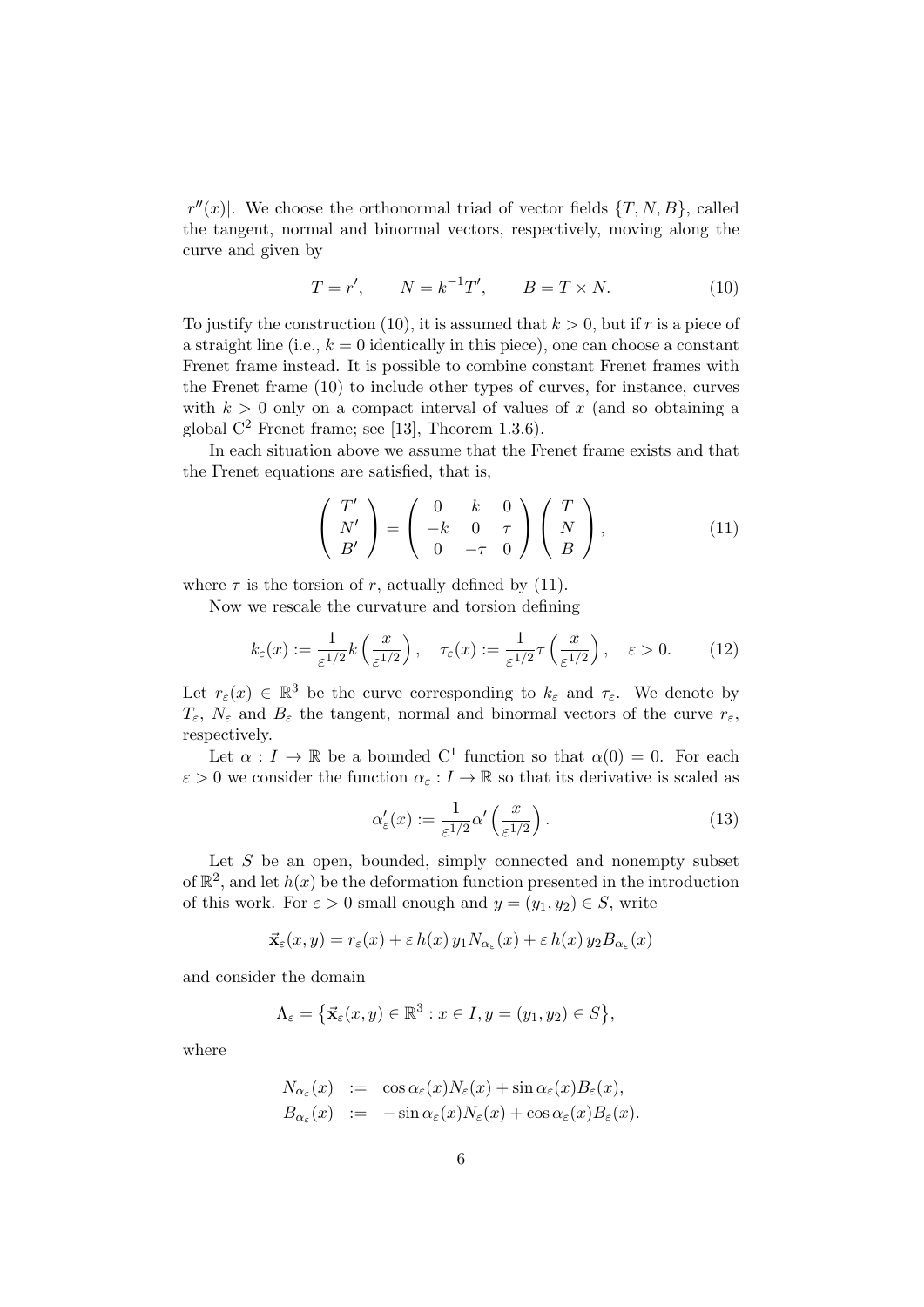$|r''(x)|$ . We choose the orthonormal triad of vector fields  $\{T, N, B\}$ , called the tangent, normal and binormal vectors, respectively, moving along the curve and given by

$$
T = r', \qquad N = k^{-1}T', \qquad B = T \times N. \tag{10}
$$

To justify the construction (10), it is assumed that  $k > 0$ , but if r is a piece of a straight line (i.e.,  $k = 0$  identically in this piece), one can choose a constant Frenet frame instead. It is possible to combine constant Frenet frames with the Frenet frame (10) to include other types of curves, for instance, curves with  $k > 0$  only on a compact interval of values of x (and so obtaining a global  $C^2$  Frenet frame; see [13], Theorem 1.3.6).

In each situation above we assume that the Frenet frame exists and that the Frenet equations are satisfied, that is,

$$
\begin{pmatrix}\nT' \\
N' \\
B'\n\end{pmatrix} = \begin{pmatrix}\n0 & k & 0 \\
-k & 0 & \tau \\
0 & -\tau & 0\n\end{pmatrix} \begin{pmatrix}\nT \\
N \\
B\n\end{pmatrix},
$$
\n(11)

where  $\tau$  is the torsion of r, actually defined by (11).

Now we rescale the curvature and torsion defining

$$
k_{\varepsilon}(x) := \frac{1}{\varepsilon^{1/2}} k\left(\frac{x}{\varepsilon^{1/2}}\right), \quad \tau_{\varepsilon}(x) := \frac{1}{\varepsilon^{1/2}} \tau\left(\frac{x}{\varepsilon^{1/2}}\right), \quad \varepsilon > 0. \tag{12}
$$

Let  $r_{\varepsilon}(x) \in \mathbb{R}^3$  be the curve corresponding to  $k_{\varepsilon}$  and  $\tau_{\varepsilon}$ . We denote by  $T_{\varepsilon}$ ,  $N_{\varepsilon}$  and  $B_{\varepsilon}$  the tangent, normal and binormal vectors of the curve  $r_{\varepsilon}$ , respectively.

Let  $\alpha : I \to \mathbb{R}$  be a bounded C<sup>1</sup> function so that  $\alpha(0) = 0$ . For each  $\varepsilon > 0$  we consider the function  $\alpha_{\varepsilon}: I \to \mathbb{R}$  so that its derivative is scaled as

$$
\alpha_{\varepsilon}'(x) := \frac{1}{\varepsilon^{1/2}} \alpha' \left(\frac{x}{\varepsilon^{1/2}}\right). \tag{13}
$$

Let  $S$  be an open, bounded, simply connected and nonempty subset of  $\mathbb{R}^2$ , and let  $h(x)$  be the deformation function presented in the introduction of this work. For  $\varepsilon > 0$  small enough and  $y = (y_1, y_2) \in S$ , write

$$
\vec{\mathbf{x}}_{\varepsilon}(x,y) = r_{\varepsilon}(x) + \varepsilon h(x) y_1 N_{\alpha_{\varepsilon}}(x) + \varepsilon h(x) y_2 B_{\alpha_{\varepsilon}}(x)
$$

and consider the domain

$$
\Lambda_{\varepsilon} = \left\{ \vec{\mathbf{x}}_{\varepsilon}(x, y) \in \mathbb{R}^3 : x \in I, y = (y_1, y_2) \in S \right\},\
$$

where

$$
N_{\alpha_{\varepsilon}}(x) := \cos \alpha_{\varepsilon}(x) N_{\varepsilon}(x) + \sin \alpha_{\varepsilon}(x) B_{\varepsilon}(x),
$$
  
\n
$$
B_{\alpha_{\varepsilon}}(x) := -\sin \alpha_{\varepsilon}(x) N_{\varepsilon}(x) + \cos \alpha_{\varepsilon}(x) B_{\varepsilon}(x).
$$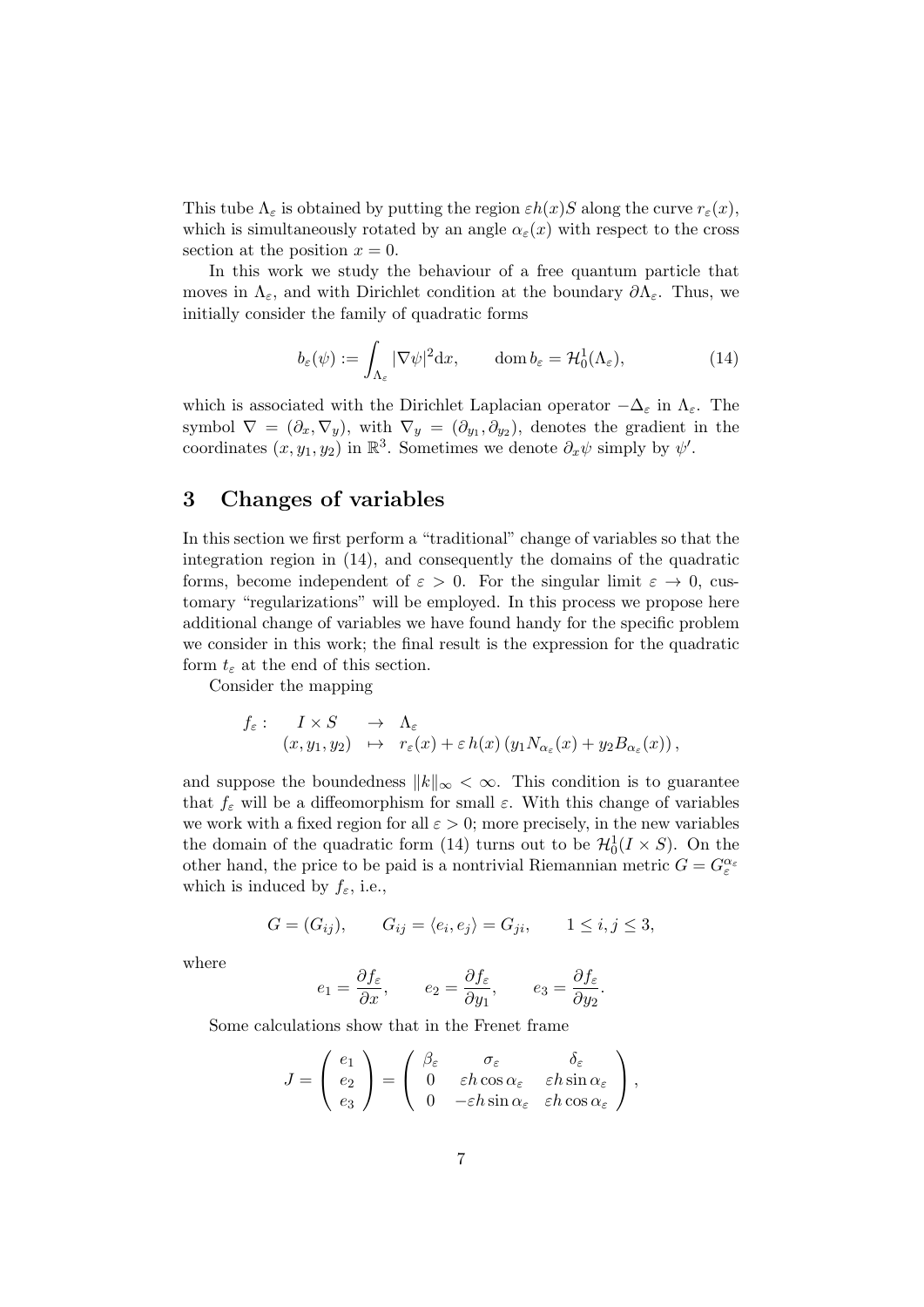This tube  $\Lambda_{\varepsilon}$  is obtained by putting the region  $\varepsilon h(x)S$  along the curve  $r_{\varepsilon}(x)$ , which is simultaneously rotated by an angle  $\alpha_{\epsilon}(x)$  with respect to the cross section at the position  $x = 0$ .

In this work we study the behaviour of a free quantum particle that moves in  $\Lambda_{\varepsilon}$ , and with Dirichlet condition at the boundary  $\partial \Lambda_{\varepsilon}$ . Thus, we initially consider the family of quadratic forms

$$
b_{\varepsilon}(\psi) := \int_{\Lambda_{\varepsilon}} |\nabla \psi|^2 dx, \qquad \text{dom } b_{\varepsilon} = \mathcal{H}_0^1(\Lambda_{\varepsilon}), \tag{14}
$$

which is associated with the Dirichlet Laplacian operator  $-\Delta_{\varepsilon}$  in  $\Lambda_{\varepsilon}$ . The symbol  $\nabla = (\partial_x, \nabla_y)$ , with  $\nabla_y = (\partial_{y_1}, \partial_{y_2})$ , denotes the gradient in the coordinates  $(x, y_1, y_2)$  in  $\mathbb{R}^3$ . Sometimes we denote  $\partial_x \psi$  simply by  $\psi'$ .

## 3 Changes of variables

In this section we first perform a "traditional" change of variables so that the integration region in (14), and consequently the domains of the quadratic forms, become independent of  $\varepsilon > 0$ . For the singular limit  $\varepsilon \to 0$ , customary "regularizations" will be employed. In this process we propose here additional change of variables we have found handy for the specific problem we consider in this work; the final result is the expression for the quadratic form  $t_{\varepsilon}$  at the end of this section.

Consider the mapping

$$
f_{\varepsilon}: \quad I \times S \quad \to \quad \Lambda_{\varepsilon} (x, y_1, y_2) \quad \mapsto \quad r_{\varepsilon}(x) + \varepsilon h(x) \left( y_1 N_{\alpha_{\varepsilon}}(x) + y_2 B_{\alpha_{\varepsilon}}(x) \right),
$$

and suppose the boundedness  $||k||_{\infty} < \infty$ . This condition is to guarantee that  $f_{\varepsilon}$  will be a diffeomorphism for small  $\varepsilon$ . With this change of variables we work with a fixed region for all  $\varepsilon > 0$ ; more precisely, in the new variables the domain of the quadratic form (14) turns out to be  $\mathcal{H}_0^1(I \times S)$ . On the other hand, the price to be paid is a nontrivial Riemannian metric  $G = G_{\varepsilon}^{\alpha_{\varepsilon}}$ which is induced by  $f_{\varepsilon}$ , i.e.,

$$
G = (G_{ij}), \qquad G_{ij} = \langle e_i, e_j \rangle = G_{ji}, \qquad 1 \le i, j \le 3,
$$

where

$$
e_1 = \frac{\partial f_{\varepsilon}}{\partial x}, \qquad e_2 = \frac{\partial f_{\varepsilon}}{\partial y_1}, \qquad e_3 = \frac{\partial f_{\varepsilon}}{\partial y_2}.
$$

Some calculations show that in the Frenet frame

$$
J = \begin{pmatrix} e_1 \\ e_2 \\ e_3 \end{pmatrix} = \begin{pmatrix} \beta_{\varepsilon} & \sigma_{\varepsilon} & \delta_{\varepsilon} \\ 0 & \varepsilon h \cos \alpha_{\varepsilon} & \varepsilon h \sin \alpha_{\varepsilon} \\ 0 & -\varepsilon h \sin \alpha_{\varepsilon} & \varepsilon h \cos \alpha_{\varepsilon} \end{pmatrix},
$$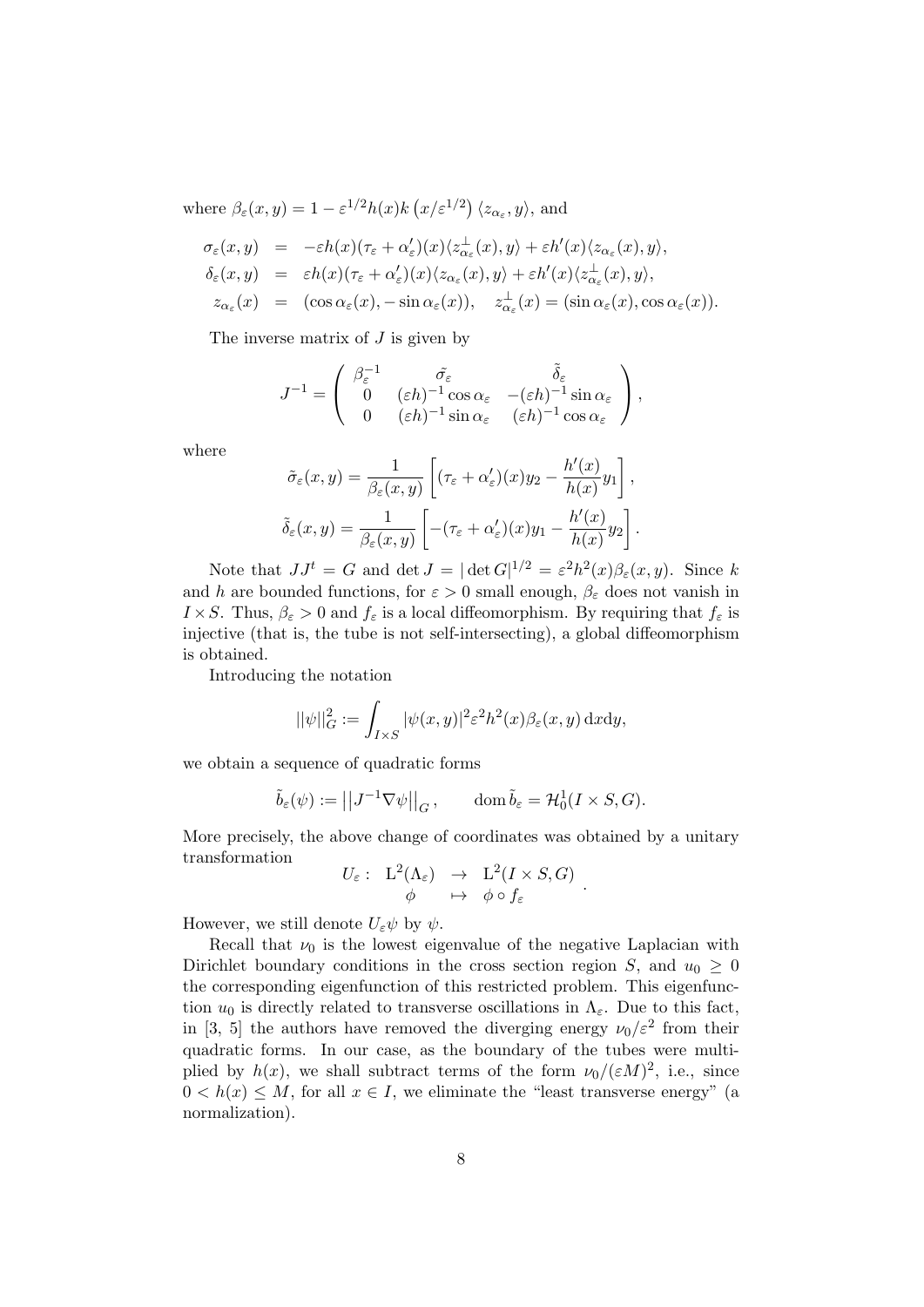where  $\beta_{\varepsilon}(x, y) = 1 - \varepsilon^{1/2} h(x) k(x/\varepsilon^{1/2}) \langle z_{\alpha_{\varepsilon}}, y \rangle$ , and

$$
\sigma_{\varepsilon}(x,y) = -\varepsilon h(x)(\tau_{\varepsilon} + \alpha_{\varepsilon}')(x)\langle z_{\alpha_{\varepsilon}}^{\perp}(x), y \rangle + \varepsilon h'(x)\langle z_{\alpha_{\varepsilon}}(x), y \rangle,
$$
  
\n
$$
\delta_{\varepsilon}(x,y) = \varepsilon h(x)(\tau_{\varepsilon} + \alpha_{\varepsilon}')(x)\langle z_{\alpha_{\varepsilon}}(x), y \rangle + \varepsilon h'(x)\langle z_{\alpha_{\varepsilon}}^{\perp}(x), y \rangle,
$$
  
\n
$$
z_{\alpha_{\varepsilon}}(x) = (\cos \alpha_{\varepsilon}(x), -\sin \alpha_{\varepsilon}(x)), \quad z_{\alpha_{\varepsilon}}^{\perp}(x) = (\sin \alpha_{\varepsilon}(x), \cos \alpha_{\varepsilon}(x)).
$$

The inverse matrix of  $J$  is given by

$$
J^{-1} = \begin{pmatrix} \beta_{\varepsilon}^{-1} & \tilde{\sigma}_{\varepsilon} & \tilde{\delta}_{\varepsilon} \\ 0 & (\varepsilon h)^{-1} \cos \alpha_{\varepsilon} & -(\varepsilon h)^{-1} \sin \alpha_{\varepsilon} \\ 0 & (\varepsilon h)^{-1} \sin \alpha_{\varepsilon} & (\varepsilon h)^{-1} \cos \alpha_{\varepsilon} \end{pmatrix},
$$

where

$$
\tilde{\sigma}_{\varepsilon}(x,y) = \frac{1}{\beta_{\varepsilon}(x,y)} \left[ (\tau_{\varepsilon} + \alpha_{\varepsilon}')(x) y_2 - \frac{h'(x)}{h(x)} y_1 \right],
$$
  

$$
\tilde{\delta}_{\varepsilon}(x,y) = \frac{1}{\beta_{\varepsilon}(x,y)} \left[ -(\tau_{\varepsilon} + \alpha_{\varepsilon}')(x) y_1 - \frac{h'(x)}{h(x)} y_2 \right].
$$

Note that  $JJ^t = G$  and  $\det J = |\det G|^{1/2} = \varepsilon^2 h^2(x)\beta_{\varepsilon}(x, y)$ . Since k and h are bounded functions, for  $\varepsilon > 0$  small enough,  $\beta_{\varepsilon}$  does not vanish in  $I \times S$ . Thus,  $\beta_{\varepsilon} > 0$  and  $f_{\varepsilon}$  is a local diffeomorphism. By requiring that  $f_{\varepsilon}$  is injective (that is, the tube is not self-intersecting), a global diffeomorphism is obtained.

Introducing the notation

$$
||\psi||_G^2 := \int_{I \times S} |\psi(x, y)|^2 \varepsilon^2 h^2(x) \beta_{\varepsilon}(x, y) \, \mathrm{d}x \mathrm{d}y,
$$

we obtain a sequence of quadratic forms

$$
\tilde{b}_{\varepsilon}(\psi) := \left| \left| J^{-1} \nabla \psi \right| \right|_G, \qquad \text{dom}\, \tilde{b}_{\varepsilon} = \mathcal{H}_0^1(I \times S, G).
$$

More precisely, the above change of coordinates was obtained by a unitary transformation

$$
U_{\varepsilon}: \begin{array}{rcl} L^2(\Lambda_{\varepsilon}) & \to & L^2(I \times S, G) \\ \phi & \mapsto & \phi \circ f_{\varepsilon} \end{array}
$$

.

However, we still denote  $U_{\varepsilon}\psi$  by  $\psi$ .

Recall that  $\nu_0$  is the lowest eigenvalue of the negative Laplacian with Dirichlet boundary conditions in the cross section region S, and  $u_0 > 0$ the corresponding eigenfunction of this restricted problem. This eigenfunction  $u_0$  is directly related to transverse oscillations in  $\Lambda_{\varepsilon}$ . Due to this fact, in [3, 5] the authors have removed the diverging energy  $\nu_0/\varepsilon^2$  from their quadratic forms. In our case, as the boundary of the tubes were multiplied by  $h(x)$ , we shall subtract terms of the form  $\nu_0/(\varepsilon M)^2$ , i.e., since  $0 < h(x) \leq M$ , for all  $x \in I$ , we eliminate the "least transverse energy" (a normalization).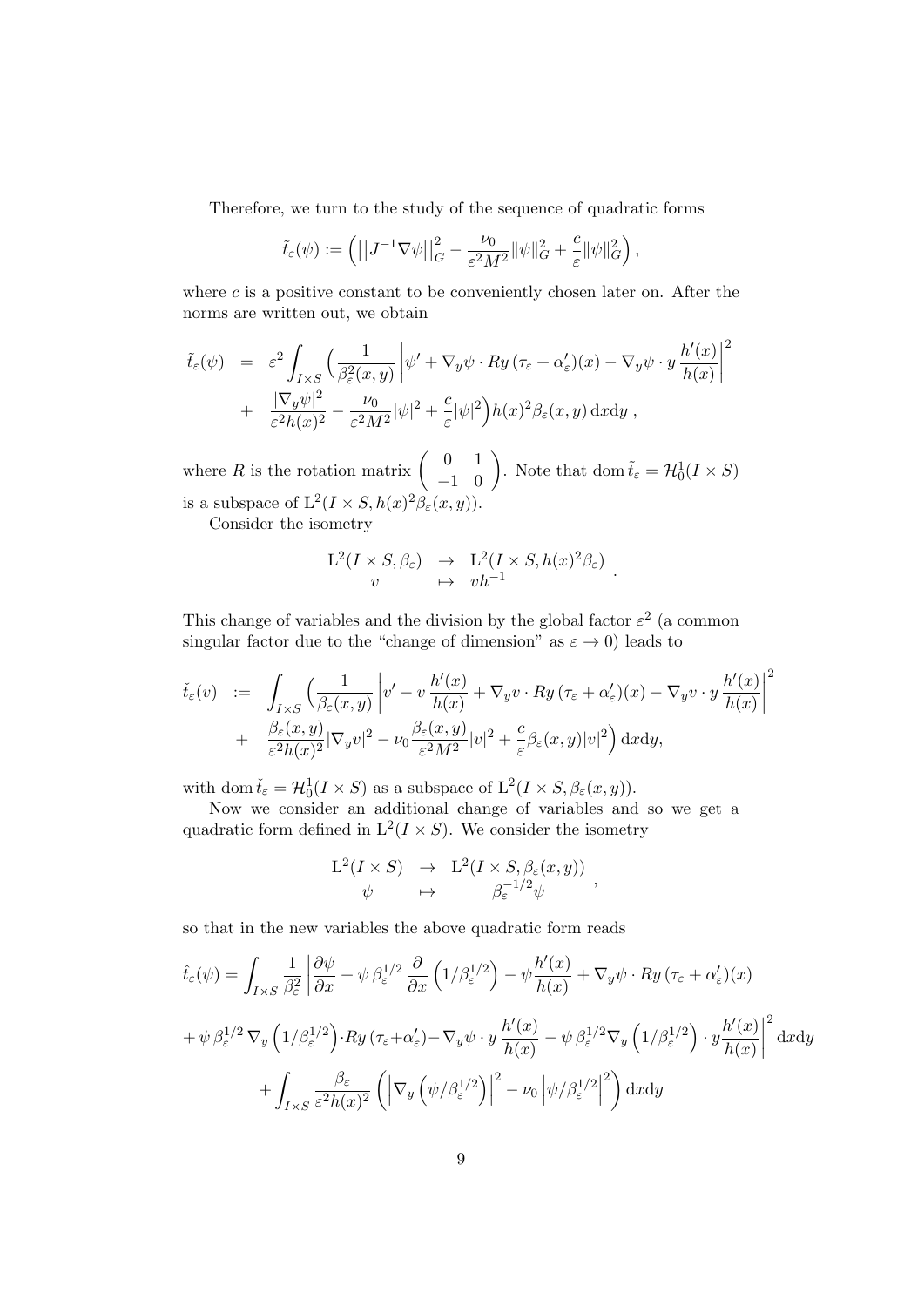Therefore, we turn to the study of the sequence of quadratic forms

$$
\tilde{t}_{\varepsilon}(\psi) := \left( \left| \left| J^{-1} \nabla \psi \right| \right|_G^2 - \frac{\nu_0}{\varepsilon^2 M^2} \|\psi\|_G^2 + \frac{c}{\varepsilon} \|\psi\|_G^2 \right),
$$

where  $c$  is a positive constant to be conveniently chosen later on. After the norms are written out, we obtain

$$
\tilde{t}_{\varepsilon}(\psi) = \varepsilon^{2} \int_{I \times S} \left( \frac{1}{\beta_{\varepsilon}^{2}(x, y)} \left| \psi' + \nabla_{y} \psi \cdot Ry \left( \tau_{\varepsilon} + \alpha_{\varepsilon}' \right) (x) - \nabla_{y} \psi \cdot y \frac{h'(x)}{h(x)} \right|^{2} + \frac{|\nabla_{y} \psi|^{2}}{\varepsilon^{2} h(x)^{2}} - \frac{\nu_{0}}{\varepsilon^{2} M^{2}} |\psi|^{2} + \frac{c}{\varepsilon} |\psi|^{2} \right) h(x)^{2} \beta_{\varepsilon}(x, y) \, dx \, dy,
$$

where R is the rotation matrix  $\begin{pmatrix} 0 & 1 \\ -1 & 0 \end{pmatrix}$ . Note that dom  $\tilde{t}_{\varepsilon} = \mathcal{H}_0^1(I \times S)$ is a subspace of  $L^2(I \times S, h(x)^2 \beta_{\varepsilon}(x, y)).$ 

Consider the isometry

$$
\begin{array}{ccc}\nL^2(I \times S, \beta_{\varepsilon}) & \to & L^2(I \times S, h(x)^2 \beta_{\varepsilon}) \\
v & \mapsto & v h^{-1}\n\end{array}
$$

.

This change of variables and the division by the global factor  $\varepsilon^2$  (a common singular factor due to the "change of dimension" as  $\varepsilon \to 0$ ) leads to

$$
\check{t}_{\varepsilon}(v) := \int_{I\times S} \left( \frac{1}{\beta_{\varepsilon}(x,y)} \left| v' - v \frac{h'(x)}{h(x)} + \nabla_y v \cdot Ry \left( \tau_{\varepsilon} + \alpha_{\varepsilon}' \right) (x) - \nabla_y v \cdot y \frac{h'(x)}{h(x)} \right|^2
$$
  
+ 
$$
\frac{\beta_{\varepsilon}(x,y)}{\varepsilon^2 h(x)^2} |\nabla_y v|^2 - \nu_0 \frac{\beta_{\varepsilon}(x,y)}{\varepsilon^2 M^2} |v|^2 + \frac{c}{\varepsilon} \beta_{\varepsilon}(x,y) |v|^2 \right) dxdy,
$$

with dom  $\check{t}_{\varepsilon} = \mathcal{H}_0^1(I \times S)$  as a subspace of  $L^2(I \times S, \beta_{\varepsilon}(x, y))$ .

Now we consider an additional change of variables and so we get a quadratic form defined in  $L^2(I \times S)$ . We consider the isometry

$$
\begin{array}{rcl}\n\mathcal{L}^2(I \times S) & \to & \mathcal{L}^2(I \times S, \beta_{\varepsilon}(x, y)) \\
\psi & \mapsto & \beta_{\varepsilon}^{-1/2} \psi\n\end{array}
$$

so that in the new variables the above quadratic form reads

$$
\hat{t}_{\varepsilon}(\psi) = \int_{I\times S} \frac{1}{\beta_{\varepsilon}^{2}} \left| \frac{\partial \psi}{\partial x} + \psi \beta_{\varepsilon}^{1/2} \frac{\partial}{\partial x} \left( 1/\beta_{\varepsilon}^{1/2} \right) - \psi \frac{h'(x)}{h(x)} + \nabla_{y} \psi \cdot Ry \left( \tau_{\varepsilon} + \alpha_{\varepsilon}' \right) (x) \right.
$$
\n
$$
+ \psi \beta_{\varepsilon}^{1/2} \nabla_{y} \left( 1/\beta_{\varepsilon}^{1/2} \right) \cdot Ry \left( \tau_{\varepsilon} + \alpha_{\varepsilon}' \right) - \nabla_{y} \psi \cdot y \frac{h'(x)}{h(x)} - \psi \beta_{\varepsilon}^{1/2} \nabla_{y} \left( 1/\beta_{\varepsilon}^{1/2} \right) \cdot y \frac{h'(x)}{h(x)} \right|^{2} \mathrm{d}x \mathrm{d}y
$$
\n
$$
+ \int_{I\times S} \frac{\beta_{\varepsilon}}{\varepsilon^{2} h(x)^{2}} \left( \left| \nabla_{y} \left( \psi/\beta_{\varepsilon}^{1/2} \right) \right|^{2} - \nu_{0} \left| \psi/\beta_{\varepsilon}^{1/2} \right|^{2} \right) \mathrm{d}x \mathrm{d}y
$$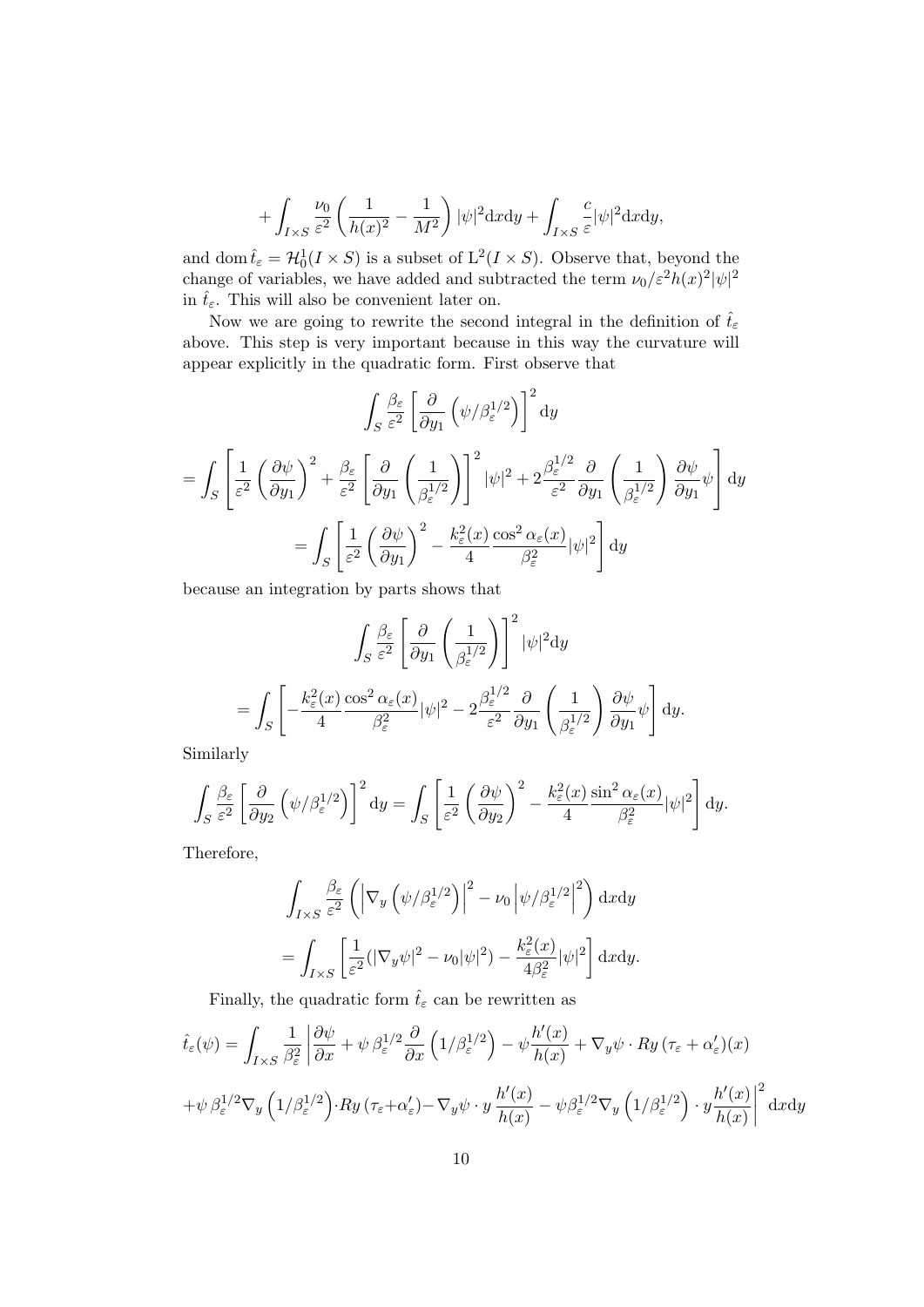$$
+ \int_{I\times S} \frac{\nu_0}{\varepsilon^2} \left( \frac{1}{h(x)^2} - \frac{1}{M^2} \right) |\psi|^2 \mathrm{d}x \mathrm{d}y + \int_{I\times S} \frac{c}{\varepsilon} |\psi|^2 \mathrm{d}x \mathrm{d}y,
$$

and dom  $\hat{t}_{\varepsilon} = \mathcal{H}_0^1(I \times S)$  is a subset of  $L^2(I \times S)$ . Observe that, beyond the change of variables, we have added and subtracted the term  $\nu_0 / \varepsilon^2 h(x)^2 |\psi|^2$ in  $\hat{t}_{\varepsilon}$ . This will also be convenient later on.

Now we are going to rewrite the second integral in the definition of  $\hat{t}_{\varepsilon}$ above. This step is very important because in this way the curvature will appear explicitly in the quadratic form. First observe that

$$
\int_{S} \frac{\beta_{\varepsilon}}{\varepsilon^{2}} \left[ \frac{\partial}{\partial y_{1}} \left( \psi / \beta_{\varepsilon}^{1/2} \right) \right]^{2} dy
$$
  
= 
$$
\int_{S} \left[ \frac{1}{\varepsilon^{2}} \left( \frac{\partial \psi}{\partial y_{1}} \right)^{2} + \frac{\beta_{\varepsilon}}{\varepsilon^{2}} \left[ \frac{\partial}{\partial y_{1}} \left( \frac{1}{\beta_{\varepsilon}^{1/2}} \right) \right]^{2} |\psi|^{2} + 2 \frac{\beta_{\varepsilon}^{1/2}}{\varepsilon^{2}} \frac{\partial}{\partial y_{1}} \left( \frac{1}{\beta_{\varepsilon}^{1/2}} \right) \frac{\partial \psi}{\partial y_{1}} \psi \right] dy
$$
  
= 
$$
\int_{S} \left[ \frac{1}{\varepsilon^{2}} \left( \frac{\partial \psi}{\partial y_{1}} \right)^{2} - \frac{k_{\varepsilon}^{2}(x)}{4} \frac{\cos^{2} \alpha_{\varepsilon}(x)}{\beta_{\varepsilon}^{2}} |\psi|^{2} \right] dy
$$

because an integration by parts shows that

$$
\int_{S} \frac{\beta_{\varepsilon}}{\varepsilon^{2}} \left[ \frac{\partial}{\partial y_{1}} \left( \frac{1}{\beta_{\varepsilon}^{1/2}} \right) \right]^{2} |\psi|^{2} dy
$$

$$
= \int_{S} \left[ -\frac{k_{\varepsilon}^{2}(x)}{4} \frac{\cos^{2} \alpha_{\varepsilon}(x)}{\beta_{\varepsilon}^{2}} |\psi|^{2} - 2 \frac{\beta_{\varepsilon}^{1/2}}{\varepsilon^{2}} \frac{\partial}{\partial y_{1}} \left( \frac{1}{\beta_{\varepsilon}^{1/2}} \right) \frac{\partial \psi}{\partial y_{1}} \psi \right] dy.
$$

Similarly

$$
\int_{S} \frac{\beta_{\varepsilon}}{\varepsilon^{2}} \left[ \frac{\partial}{\partial y_{2}} \left( \psi / \beta_{\varepsilon}^{1/2} \right) \right]^{2} dy = \int_{S} \left[ \frac{1}{\varepsilon^{2}} \left( \frac{\partial \psi}{\partial y_{2}} \right)^{2} - \frac{k_{\varepsilon}^{2}(x)}{4} \frac{\sin^{2} \alpha_{\varepsilon}(x)}{\beta_{\varepsilon}^{2}} |\psi|^{2} \right] dy.
$$

Therefore,

$$
\int_{I\times S} \frac{\beta_{\varepsilon}}{\varepsilon^{2}} \left( \left| \nabla_{y} \left( \psi / \beta_{\varepsilon}^{1/2} \right) \right|^{2} - \nu_{0} \left| \psi / \beta_{\varepsilon}^{1/2} \right|^{2} \right) dxdy
$$

$$
= \int_{I\times S} \left[ \frac{1}{\varepsilon^{2}} (|\nabla_{y}\psi|^{2} - \nu_{0}|\psi|^{2}) - \frac{k_{\varepsilon}^{2}(x)}{4\beta_{\varepsilon}^{2}} |\psi|^{2} \right] dxdy.
$$

Finally, the quadratic form  $\hat{t}_{\varepsilon}$  can be rewritten as

$$
\hat{t}_{\varepsilon}(\psi) = \int_{I\times S} \frac{1}{\beta_{\varepsilon}^{2}} \left| \frac{\partial \psi}{\partial x} + \psi \beta_{\varepsilon}^{1/2} \frac{\partial}{\partial x} \left( 1/\beta_{\varepsilon}^{1/2} \right) - \psi \frac{h'(x)}{h(x)} + \nabla_{y} \psi \cdot Ry \left( \tau_{\varepsilon} + \alpha_{\varepsilon}' \right) (x) \right.
$$
\n
$$
+ \psi \beta_{\varepsilon}^{1/2} \nabla_{y} \left( 1/\beta_{\varepsilon}^{1/2} \right) \cdot Ry \left( \tau_{\varepsilon} + \alpha_{\varepsilon}' \right) - \nabla_{y} \psi \cdot y \frac{h'(x)}{h(x)} - \psi \beta_{\varepsilon}^{1/2} \nabla_{y} \left( 1/\beta_{\varepsilon}^{1/2} \right) \cdot y \frac{h'(x)}{h(x)} \right|^{2} \mathrm{d}x \mathrm{d}y
$$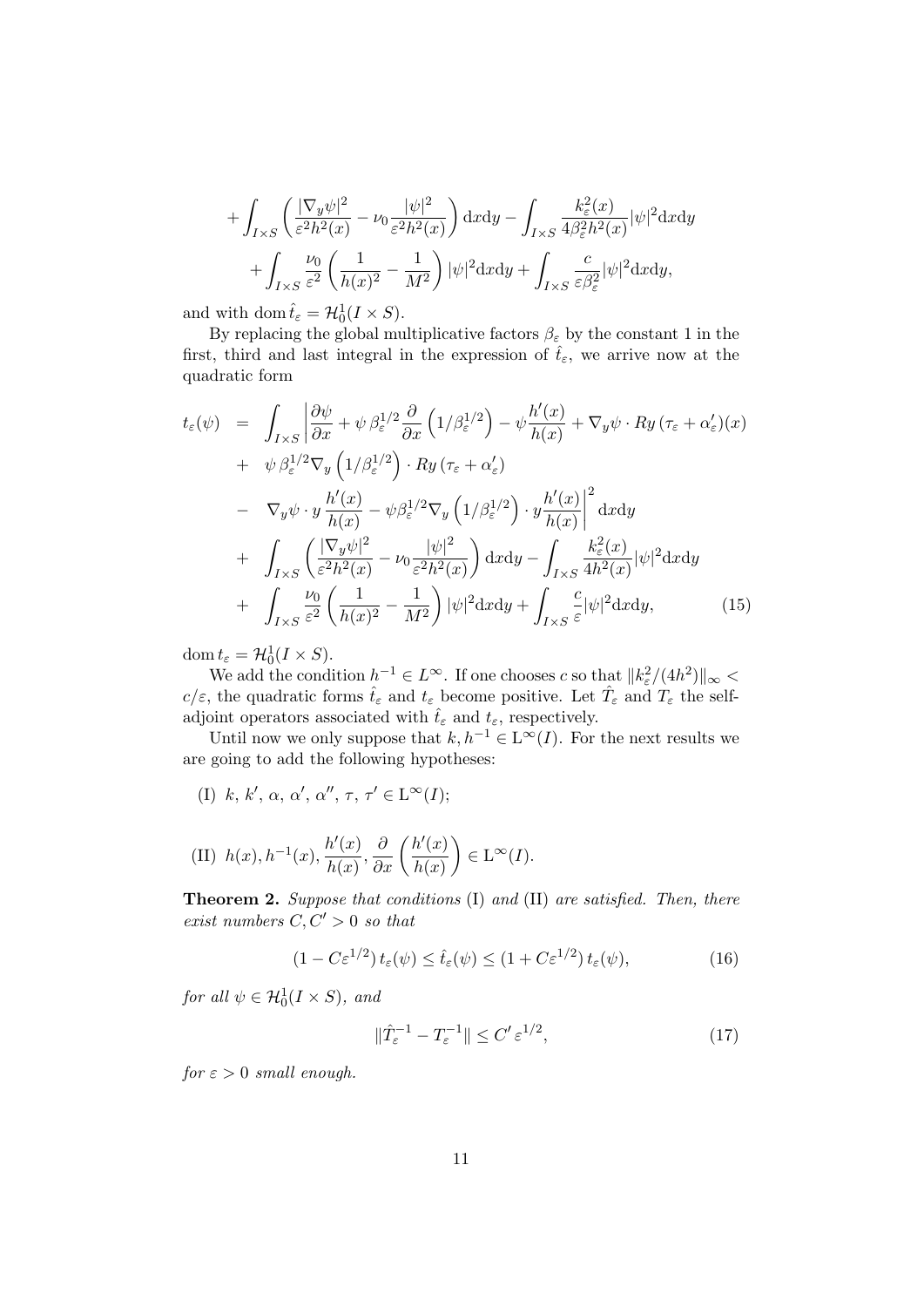$$
+ \int_{I\times S} \left( \frac{|\nabla_y \psi|^2}{\varepsilon^2 h^2(x)} - \nu_0 \frac{|\psi|^2}{\varepsilon^2 h^2(x)} \right) dx dy - \int_{I\times S} \frac{k_\varepsilon^2(x)}{4\beta_\varepsilon^2 h^2(x)} |\psi|^2 dx dy + \int_{I\times S} \frac{\nu_0}{\varepsilon^2} \left( \frac{1}{h(x)^2} - \frac{1}{M^2} \right) |\psi|^2 dx dy + \int_{I\times S} \frac{c}{\varepsilon \beta_\varepsilon^2} |\psi|^2 dx dy,
$$

and with dom  $\hat{t}_{\varepsilon} = \mathcal{H}_0^1(I \times S)$ .

By replacing the global multiplicative factors  $\beta_{\varepsilon}$  by the constant 1 in the first, third and last integral in the expression of  $\hat{t}_{\varepsilon}$ , we arrive now at the quadratic form

$$
t_{\varepsilon}(\psi) = \int_{I\times S} \left| \frac{\partial \psi}{\partial x} + \psi \beta_{\varepsilon}^{1/2} \frac{\partial}{\partial x} \left( 1/\beta_{\varepsilon}^{1/2} \right) - \psi \frac{h'(x)}{h(x)} + \nabla_{y} \psi \cdot Ry \left( \tau_{\varepsilon} + \alpha_{\varepsilon}' \right) (x) \right| + \psi \beta_{\varepsilon}^{1/2} \nabla_{y} \left( 1/\beta_{\varepsilon}^{1/2} \right) \cdot Ry \left( \tau_{\varepsilon} + \alpha_{\varepsilon}' \right) - \nabla_{y} \psi \cdot y \frac{h'(x)}{h(x)} - \psi \beta_{\varepsilon}^{1/2} \nabla_{y} \left( 1/\beta_{\varepsilon}^{1/2} \right) \cdot y \frac{h'(x)}{h(x)} \right|^{2} \mathrm{d}x \mathrm{d}y + \int_{I\times S} \left( \frac{|\nabla_{y} \psi|^{2}}{\varepsilon^{2} h^{2}(x)} - \nu_{0} \frac{|\psi|^{2}}{\varepsilon^{2} h^{2}(x)} \right) \mathrm{d}x \mathrm{d}y - \int_{I\times S} \frac{k_{\varepsilon}^{2}(x)}{4h^{2}(x)} |\psi|^{2} \mathrm{d}x \mathrm{d}y + \int_{I\times S} \frac{\nu_{0}}{\varepsilon^{2}} \left( \frac{1}{h(x)^{2}} - \frac{1}{M^{2}} \right) |\psi|^{2} \mathrm{d}x \mathrm{d}y + \int_{I\times S} \frac{c}{\varepsilon} |\psi|^{2} \mathrm{d}x \mathrm{d}y, \tag{15}
$$

dom  $t_{\varepsilon} = \mathcal{H}_0^1(I \times S)$ .

We add the condition  $h^{-1} \in L^{\infty}$ . If one chooses c so that  $||k_{\varepsilon}^{2}/(4h^{2})||_{\infty}$  $c/\varepsilon$ , the quadratic forms  $\hat{t}_{\varepsilon}$  and  $t_{\varepsilon}$  become positive. Let  $\hat{T}_{\varepsilon}$  and  $T_{\varepsilon}$  the selfadjoint operators associated with  $\hat{t}_{\varepsilon}$  and  $t_{\varepsilon}$ , respectively.

Until now we only suppose that  $k, h^{-1} \in L^{\infty}(I)$ . For the next results we are going to add the following hypotheses:

(I) k, k',  $\alpha$ ,  $\alpha'$ ,  $\alpha''$ ,  $\tau$ ,  $\tau' \in L^{\infty}(I);$ 

(II) 
$$
h(x), h^{-1}(x), \frac{h'(x)}{h(x)}, \frac{\partial}{\partial x} \left( \frac{h'(x)}{h(x)} \right) \in L^{\infty}(I).
$$

Theorem 2. Suppose that conditions (I) and (II) are satisfied. Then, there exist numbers  $C, C' > 0$  so that

$$
(1 - C\varepsilon^{1/2}) t_{\varepsilon}(\psi) \le \hat{t}_{\varepsilon}(\psi) \le (1 + C\varepsilon^{1/2}) t_{\varepsilon}(\psi), \tag{16}
$$

for all  $\psi \in \mathcal{H}_0^1(I \times S)$ , and

$$
\|\hat{T}_{\varepsilon}^{-1} - T_{\varepsilon}^{-1}\| \le C' \varepsilon^{1/2},\tag{17}
$$

 $for \varepsilon > 0$  small enough.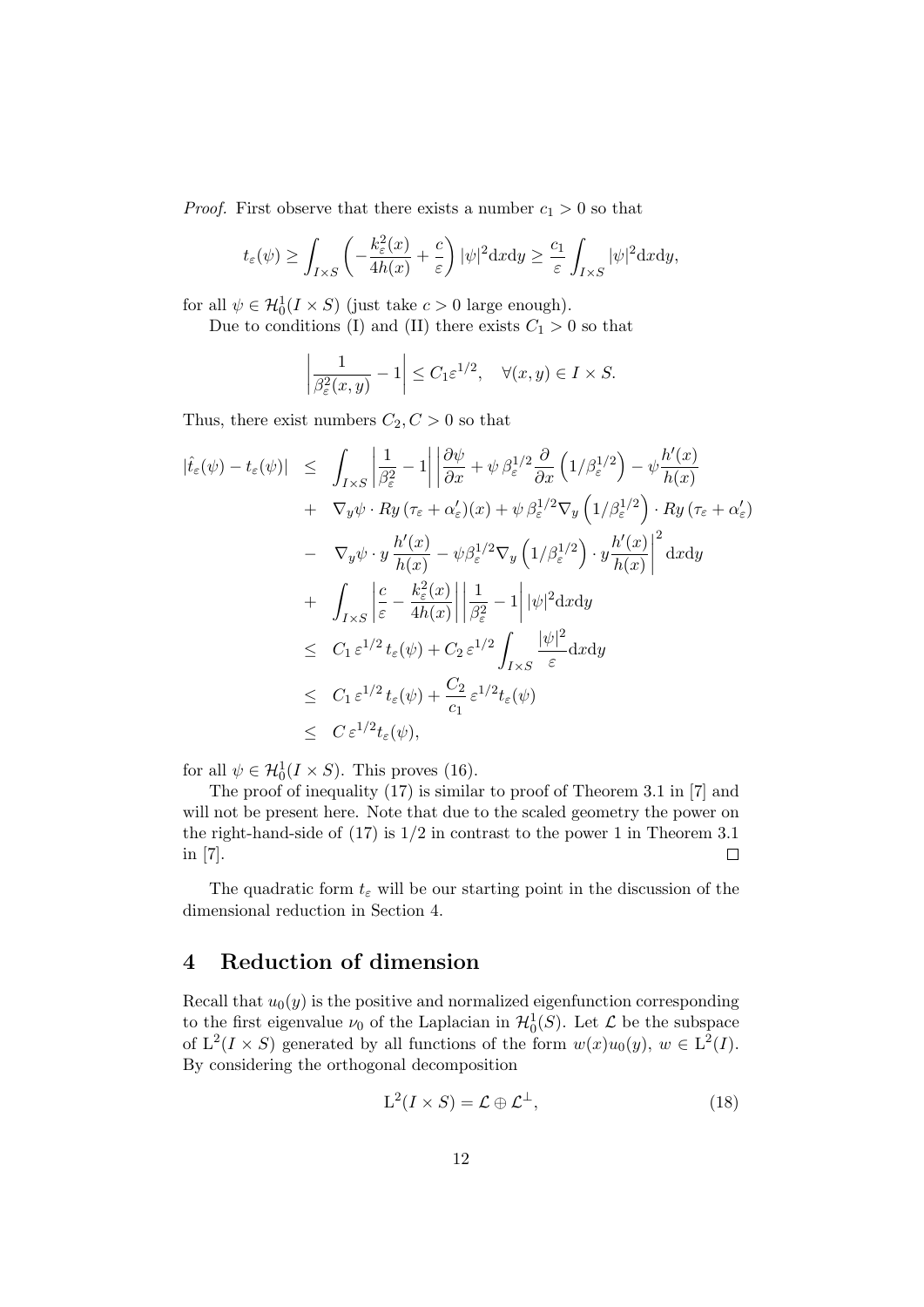*Proof.* First observe that there exists a number  $c_1 > 0$  so that

$$
t_{\varepsilon}(\psi) \ge \int_{I\times S} \left( -\frac{k_{\varepsilon}^{2}(x)}{4h(x)} + \frac{c}{\varepsilon} \right) |\psi|^{2} dxdy \ge \frac{c_{1}}{\varepsilon} \int_{I\times S} |\psi|^{2} dxdy,
$$

for all  $\psi \in \mathcal{H}_0^1(I \times S)$  (just take  $c > 0$  large enough).

Due to conditions (I) and (II) there exists  $C_1 > 0$  so that

$$
\left|\frac{1}{\beta_{\varepsilon}^2(x,y)} - 1\right| \le C_1 \varepsilon^{1/2}, \quad \forall (x,y) \in I \times S.
$$

Thus, there exist numbers  $C_2, C > 0$  so that

$$
|\hat{t}_{\varepsilon}(\psi) - t_{\varepsilon}(\psi)| \leq \int_{I\times S} \left| \frac{1}{\beta_{\varepsilon}^{2}} - 1 \right| \left| \frac{\partial \psi}{\partial x} + \psi \beta_{\varepsilon}^{1/2} \frac{\partial}{\partial x} \left( 1/\beta_{\varepsilon}^{1/2} \right) - \psi \frac{h'(x)}{h(x)} \right|
$$
  
+  $\nabla_{y}\psi \cdot Ry \left( \tau_{\varepsilon} + \alpha_{\varepsilon}' \right)(x) + \psi \beta_{\varepsilon}^{1/2} \nabla_{y} \left( 1/\beta_{\varepsilon}^{1/2} \right) \cdot Ry \left( \tau_{\varepsilon} + \alpha_{\varepsilon}' \right)$   
-  $\nabla_{y}\psi \cdot y \frac{h'(x)}{h(x)} - \psi \beta_{\varepsilon}^{1/2} \nabla_{y} \left( 1/\beta_{\varepsilon}^{1/2} \right) \cdot y \frac{h'(x)}{h(x)} \right|^{2} dx dy$   
+  $\int_{I\times S} \left| \frac{c}{\varepsilon} - \frac{k_{\varepsilon}^{2}(x)}{4h(x)} \right| \left| \frac{1}{\beta_{\varepsilon}^{2}} - 1 \right| |\psi|^{2} dx dy$   
 $\leq C_{1} \varepsilon^{1/2} t_{\varepsilon}(\psi) + C_{2} \varepsilon^{1/2} \int_{I\times S} \frac{|\psi|^{2}}{\varepsilon} dx dy$   
 $\leq C_{1} \varepsilon^{1/2} t_{\varepsilon}(\psi) + \frac{C_{2}}{c_{1}} \varepsilon^{1/2} t_{\varepsilon}(\psi)$   
 $\leq C \varepsilon^{1/2} t_{\varepsilon}(\psi),$ 

for all  $\psi \in \mathcal{H}_0^1(I \times S)$ . This proves (16).

The proof of inequality (17) is similar to proof of Theorem 3.1 in [7] and will not be present here. Note that due to the scaled geometry the power on the right-hand-side of  $(17)$  is  $1/2$  in contrast to the power 1 in Theorem 3.1 in [7].  $\Box$ 

The quadratic form  $t_{\varepsilon}$  will be our starting point in the discussion of the dimensional reduction in Section 4.

## 4 Reduction of dimension

Recall that  $u_0(y)$  is the positive and normalized eigenfunction corresponding to the first eigenvalue  $\nu_0$  of the Laplacian in  $\mathcal{H}_0^1(S)$ . Let  $\mathcal L$  be the subspace of  $L^2(I \times S)$  generated by all functions of the form  $w(x)u_0(y)$ ,  $w \in L^2(I)$ . By considering the orthogonal decomposition

$$
L^2(I \times S) = \mathcal{L} \oplus \mathcal{L}^\perp,\tag{18}
$$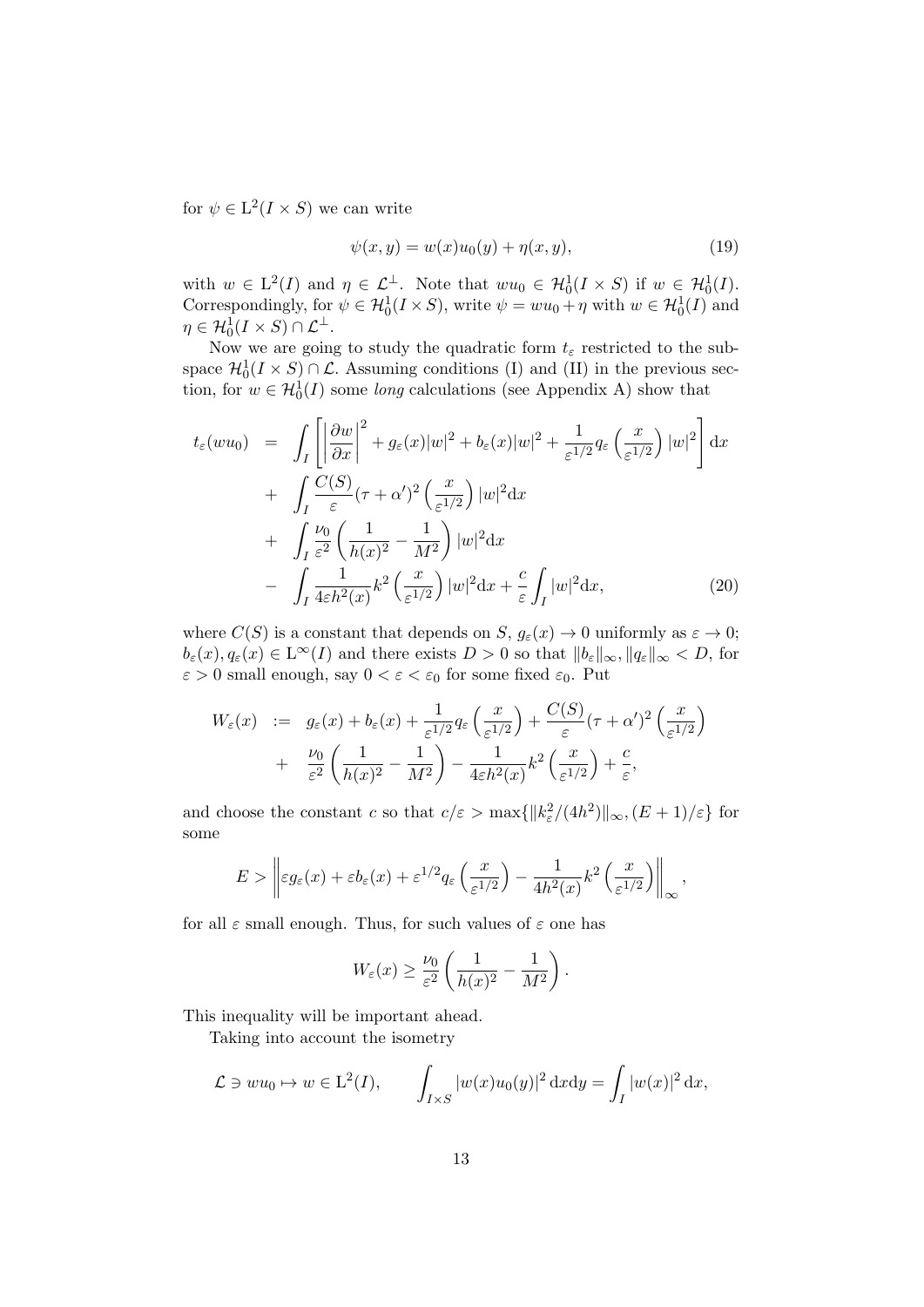for  $\psi \in L^2(I \times S)$  we can write

$$
\psi(x, y) = w(x)u_0(y) + \eta(x, y), \tag{19}
$$

with  $w \in L^2(I)$  and  $\eta \in \mathcal{L}^{\perp}$ . Note that  $wu_0 \in \mathcal{H}_0^1(I \times S)$  if  $w \in \mathcal{H}_0^1(I)$ . Correspondingly, for  $\psi \in \mathcal{H}_0^1(I \times S)$ , write  $\psi = w u_0 + \eta$  with  $w \in \mathcal{H}_0^1(I)$  and  $\eta \in \mathcal{H}_0^1(I \times S) \cap \mathcal{L}^\perp.$ 

Now we are going to study the quadratic form  $t_{\varepsilon}$  restricted to the subspace  $\mathcal{H}_0^1(I \times S) \cap \mathcal{L}$ . Assuming conditions (I) and (II) in the previous section, for  $w \in \mathcal{H}_0^1(I)$  some long calculations (see Appendix A) show that

$$
t_{\varepsilon}(wu_0) = \int_{I} \left[ \left| \frac{\partial w}{\partial x} \right|^{2} + g_{\varepsilon}(x)|w|^{2} + b_{\varepsilon}(x)|w|^{2} + \frac{1}{\varepsilon^{1/2}} q_{\varepsilon} \left( \frac{x}{\varepsilon^{1/2}} \right) |w|^{2} \right] dx
$$
  
+ 
$$
\int_{I} \frac{C(S)}{\varepsilon} (\tau + \alpha')^{2} \left( \frac{x}{\varepsilon^{1/2}} \right) |w|^{2} dx
$$
  
+ 
$$
\int_{I} \frac{\nu_{0}}{\varepsilon^{2}} \left( \frac{1}{h(x)^{2}} - \frac{1}{M^{2}} \right) |w|^{2} dx
$$
  
- 
$$
\int_{I} \frac{1}{4\varepsilon h^{2}(x)} k^{2} \left( \frac{x}{\varepsilon^{1/2}} \right) |w|^{2} dx + \frac{c}{\varepsilon} \int_{I} |w|^{2} dx,
$$
 (20)

where  $C(S)$  is a constant that depends on  $S, g_{\varepsilon}(x) \to 0$  uniformly as  $\varepsilon \to 0$ ;  $b_{\varepsilon}(x), q_{\varepsilon}(x) \in L^{\infty}(I)$  and there exists  $D > 0$  so that  $||b_{\varepsilon}||_{\infty}, ||q_{\varepsilon}||_{\infty} < D$ , for  $\varepsilon > 0$  small enough, say  $0 < \varepsilon < \varepsilon_0$  for some fixed  $\varepsilon_0$ . Put

$$
W_{\varepsilon}(x) := g_{\varepsilon}(x) + b_{\varepsilon}(x) + \frac{1}{\varepsilon^{1/2}} q_{\varepsilon}\left(\frac{x}{\varepsilon^{1/2}}\right) + \frac{C(S)}{\varepsilon} (\tau + \alpha')^{2} \left(\frac{x}{\varepsilon^{1/2}}\right) + \frac{\nu_{0}}{\varepsilon^{2}} \left(\frac{1}{h(x)^{2}} - \frac{1}{M^{2}}\right) - \frac{1}{4\varepsilon h^{2}(x)} k^{2} \left(\frac{x}{\varepsilon^{1/2}}\right) + \frac{c}{\varepsilon},
$$

and choose the constant c so that  $c/\varepsilon > \max{\{\Vert k_{\varepsilon}^2/(4h^2) \Vert_{\infty}, (E+1)/\varepsilon\}}$  for some

$$
E > \left\| \varepsilon g_{\varepsilon}(x) + \varepsilon b_{\varepsilon}(x) + \varepsilon^{1/2} q_{\varepsilon}\left(\frac{x}{\varepsilon^{1/2}}\right) - \frac{1}{4h^2(x)} k^2 \left(\frac{x}{\varepsilon^{1/2}}\right) \right\|_{\infty},
$$

for all  $\varepsilon$  small enough. Thus, for such values of  $\varepsilon$  one has

$$
W_{\varepsilon}(x) \ge \frac{\nu_0}{\varepsilon^2} \left( \frac{1}{h(x)^2} - \frac{1}{M^2} \right).
$$

This inequality will be important ahead.

Taking into account the isometry

$$
\mathcal{L} \ni w u_0 \mapsto w \in \mathcal{L}^2(I), \qquad \int_{I \times S} |w(x)u_0(y)|^2 \, \mathrm{d}x \mathrm{d}y = \int_I |w(x)|^2 \, \mathrm{d}x,
$$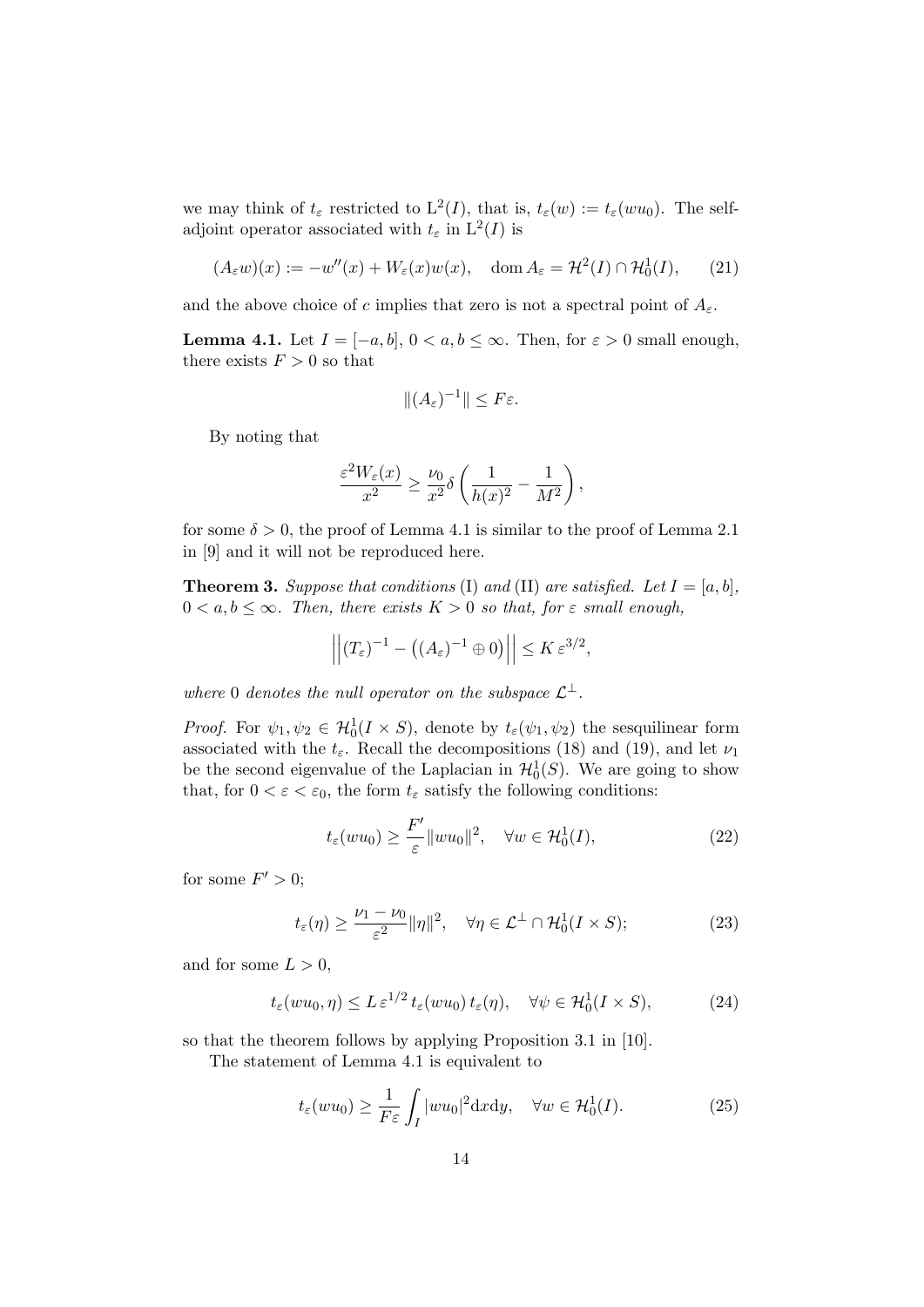we may think of  $t_{\varepsilon}$  restricted to  $L^2(I)$ , that is,  $t_{\varepsilon}(w) := t_{\varepsilon}(wu_0)$ . The selfadjoint operator associated with  $t_{\varepsilon}$  in  $L^2(I)$  is

$$
(A_{\varepsilon}w)(x) := -w''(x) + W_{\varepsilon}(x)w(x), \quad \text{dom}\, A_{\varepsilon} = \mathcal{H}^2(I) \cap \mathcal{H}_0^1(I), \qquad (21)
$$

and the above choice of c implies that zero is not a spectral point of  $A_{\varepsilon}$ .

**Lemma 4.1.** Let  $I = [-a, b], 0 < a, b \leq \infty$ . Then, for  $\varepsilon > 0$  small enough, there exists  $F > 0$  so that

$$
||(A_{\varepsilon})^{-1}|| \leq F\varepsilon.
$$

By noting that

$$
\frac{\varepsilon^2 W_{\varepsilon}(x)}{x^2} \ge \frac{\nu_0}{x^2} \delta\left(\frac{1}{h(x)^2} - \frac{1}{M^2}\right),\,
$$

for some  $\delta > 0$ , the proof of Lemma 4.1 is similar to the proof of Lemma 2.1 in [9] and it will not be reproduced here.

**Theorem 3.** Suppose that conditions (I) and (II) are satisfied. Let  $I = [a, b]$ ,  $0 < a, b \leq \infty$ . Then, there exists  $K > 0$  so that, for  $\varepsilon$  small enough,

$$
\left\| (T_{\varepsilon})^{-1} - \left( (A_{\varepsilon})^{-1} \oplus 0 \right) \right\| \leq K \, \varepsilon^{3/2},
$$

where 0 denotes the null operator on the subspace  $\mathcal{L}^{\perp}$ .

*Proof.* For  $\psi_1, \psi_2 \in H_0^1(I \times S)$ , denote by  $t_\varepsilon(\psi_1, \psi_2)$  the sesquilinear form associated with the  $t_{\varepsilon}$ . Recall the decompositions (18) and (19), and let  $\nu_1$ be the second eigenvalue of the Laplacian in  $\mathcal{H}_0^1(S)$ . We are going to show that, for  $0 < \varepsilon < \varepsilon_0$ , the form  $t_{\varepsilon}$  satisfy the following conditions:

$$
t_{\varepsilon}(wu_0) \ge \frac{F'}{\varepsilon} ||wu_0||^2, \quad \forall w \in \mathcal{H}_0^1(I), \tag{22}
$$

for some  $F' > 0$ ;

$$
t_{\varepsilon}(\eta) \ge \frac{\nu_1 - \nu_0}{\varepsilon^2} \|\eta\|^2, \quad \forall \eta \in \mathcal{L}^\perp \cap \mathcal{H}_0^1(I \times S); \tag{23}
$$

and for some  $L > 0$ ,

$$
t_{\varepsilon}(wu_0, \eta) \le L \, \varepsilon^{1/2} \, t_{\varepsilon}(wu_0) \, t_{\varepsilon}(\eta), \quad \forall \psi \in \mathcal{H}_0^1(I \times S), \tag{24}
$$

so that the theorem follows by applying Proposition 3.1 in [10].

The statement of Lemma 4.1 is equivalent to

$$
t_{\varepsilon}(wu_0) \ge \frac{1}{F\varepsilon} \int_I |wu_0|^2 \, \mathrm{d}x \, \mathrm{d}y, \quad \forall w \in \mathcal{H}_0^1(I). \tag{25}
$$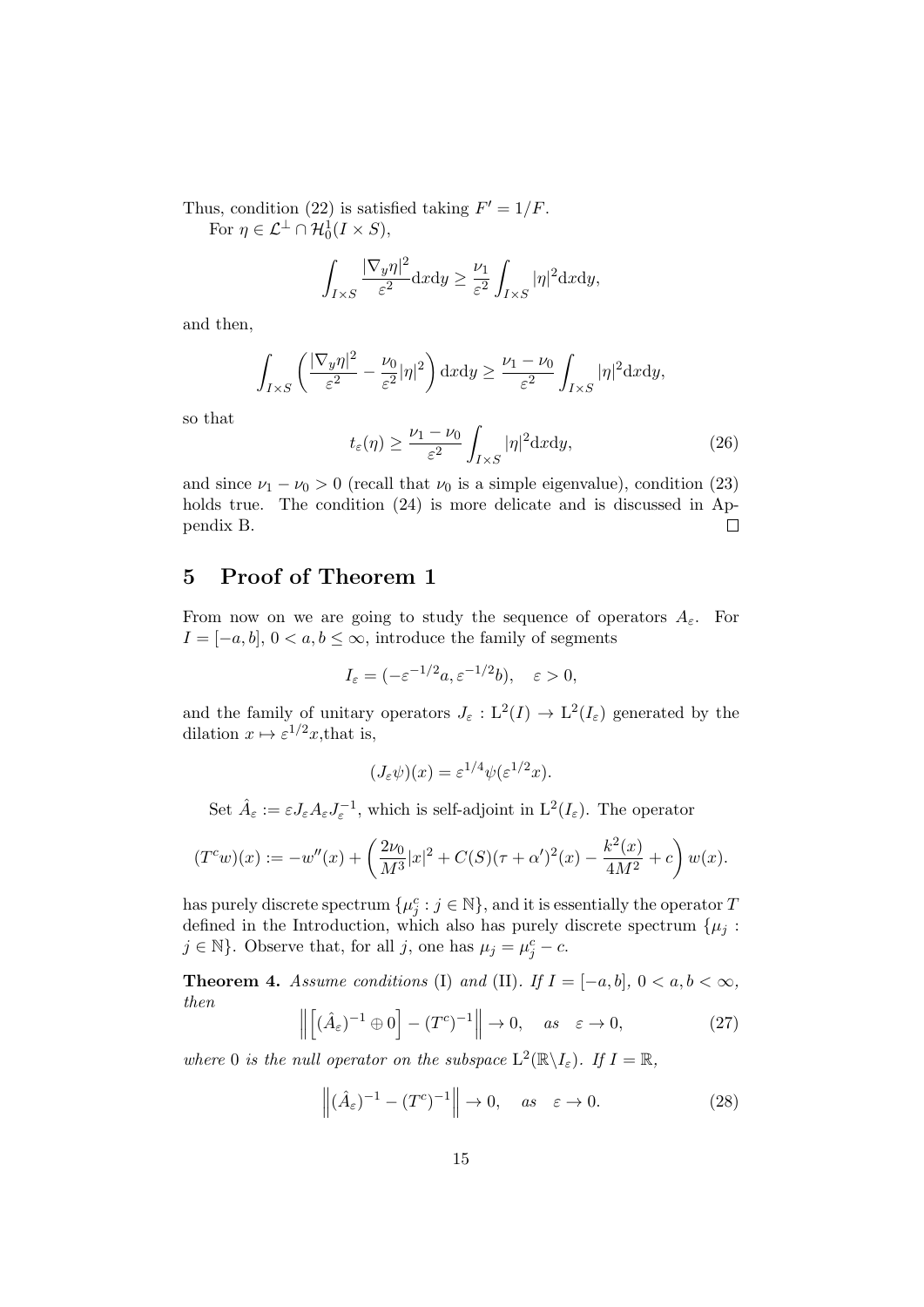Thus, condition (22) is satisfied taking  $F' = 1/F$ . For  $\eta \in \mathcal{L}^{\perp} \cap \mathcal{H}_0^1(I \times S)$ ,

$$
\int_{I\times S}\frac{|\nabla_y\eta|^2}{\varepsilon^2}\mathrm{d}x\mathrm{d}y\geq \frac{\nu_1}{\varepsilon^2}\int_{I\times S}|\eta|^2\mathrm{d}x\mathrm{d}y,
$$

and then,

$$
\int_{I\times S} \left( \frac{|\nabla_y \eta|^2}{\varepsilon^2} - \frac{\nu_0}{\varepsilon^2} |\eta|^2 \right) dxdy \ge \frac{\nu_1 - \nu_0}{\varepsilon^2} \int_{I\times S} |\eta|^2 dxdy,
$$

so that

$$
t_{\varepsilon}(\eta) \ge \frac{\nu_1 - \nu_0}{\varepsilon^2} \int_{I \times S} |\eta|^2 \mathrm{d}x \mathrm{d}y,\tag{26}
$$

and since  $\nu_1 - \nu_0 > 0$  (recall that  $\nu_0$  is a simple eigenvalue), condition (23) holds true. The condition  $(24)$  is more delicate and is discussed in Appendix B.  $\Box$ 

## 5 Proof of Theorem 1

From now on we are going to study the sequence of operators  $A_{\varepsilon}$ . For  $I = [-a, b], 0 < a, b \leq \infty$ , introduce the family of segments

$$
I_{\varepsilon}=(-\varepsilon^{-1/2}a, \varepsilon^{-1/2}b), \quad \varepsilon > 0,
$$

and the family of unitary operators  $J_{\varepsilon}: L^2(I) \to L^2(I_{\varepsilon})$  generated by the dilation  $x \mapsto \varepsilon^{1/2}x$ , that is,

$$
(J_{\varepsilon}\psi)(x) = \varepsilon^{1/4}\psi(\varepsilon^{1/2}x).
$$

Set  $\hat{A}_{\varepsilon} := \varepsilon J_{\varepsilon} A_{\varepsilon} J_{\varepsilon}^{-1}$ , which is self-adjoint in  $L^2(I_{\varepsilon})$ . The operator

$$
(T^c w)(x) := -w''(x) + \left(\frac{2\nu_0}{M^3}|x|^2 + C(S)(\tau + \alpha')^2(x) - \frac{k^2(x)}{4M^2} + c\right)w(x).
$$

has purely discrete spectrum  $\{\mu_j^c : j \in \mathbb{N}\}\$ , and it is essentially the operator T defined in the Introduction, which also has purely discrete spectrum  $\{\mu_i:$  $j \in \mathbb{N}$ . Observe that, for all j, one has  $\mu_j = \mu_j^c - c$ .

**Theorem 4.** Assume conditions (I) and (II). If  $I = [-a, b]$ ,  $0 < a, b < \infty$ , then

$$
\left\| \left[ (\hat{A}_{\varepsilon})^{-1} \oplus 0 \right] - (T^{c})^{-1} \right\| \to 0, \quad \text{as} \quad \varepsilon \to 0,
$$
 (27)

where 0 is the null operator on the subspace  $L^2(\mathbb{R}\setminus I_{\varepsilon})$ . If  $I = \mathbb{R}$ ,

$$
\left\| (\hat{A}_{\varepsilon})^{-1} - (T^c)^{-1} \right\| \to 0, \quad \text{as} \quad \varepsilon \to 0. \tag{28}
$$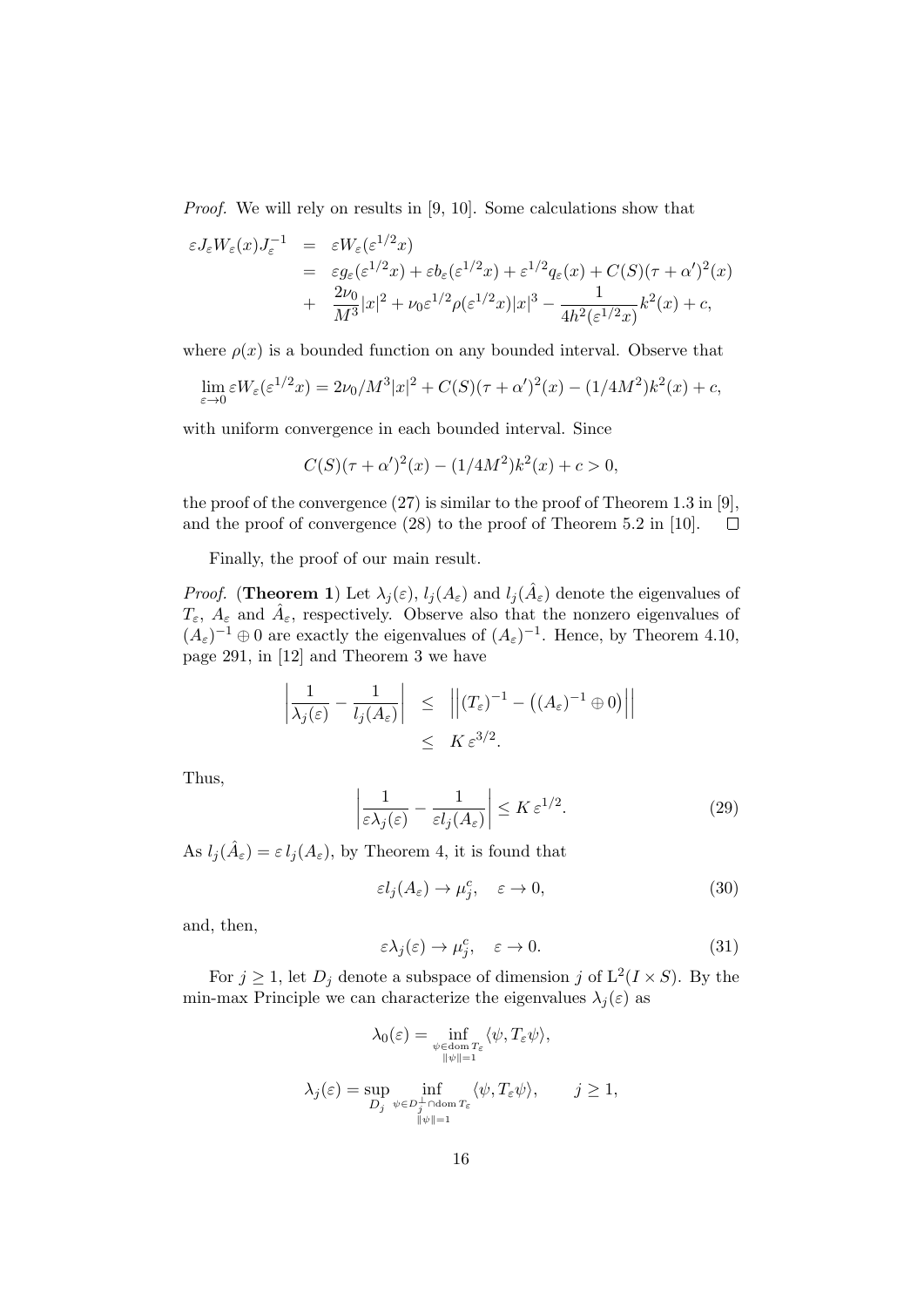Proof. We will rely on results in [9, 10]. Some calculations show that

$$
\varepsilon J_{\varepsilon} W_{\varepsilon}(x) J_{\varepsilon}^{-1} = \varepsilon W_{\varepsilon} (\varepsilon^{1/2} x)
$$
  
\n
$$
= \varepsilon g_{\varepsilon} (\varepsilon^{1/2} x) + \varepsilon b_{\varepsilon} (\varepsilon^{1/2} x) + \varepsilon^{1/2} q_{\varepsilon}(x) + C(S)(\tau + \alpha')^{2}(x)
$$
  
\n
$$
+ \frac{2\nu_{0}}{M^{3}} |x|^{2} + \nu_{0} \varepsilon^{1/2} \rho(\varepsilon^{1/2} x) |x|^{3} - \frac{1}{4h^{2}(\varepsilon^{1/2} x)} k^{2}(x) + c,
$$

where  $\rho(x)$  is a bounded function on any bounded interval. Observe that

$$
\lim_{\varepsilon \to 0} \varepsilon W_{\varepsilon}(\varepsilon^{1/2} x) = 2\nu_0/M^3 |x|^2 + C(S)(\tau + \alpha')^2(x) - (1/4M^2)k^2(x) + c,
$$

with uniform convergence in each bounded interval. Since

$$
C(S)(\tau + \alpha')^{2}(x) - (1/4M^{2})k^{2}(x) + c > 0,
$$

the proof of the convergence (27) is similar to the proof of Theorem 1.3 in [9], and the proof of convergence (28) to the proof of Theorem 5.2 in [10].  $\Box$ 

Finally, the proof of our main result.

*Proof.* (Theorem 1) Let  $\lambda_j(\varepsilon)$ ,  $l_j(A_{\varepsilon})$  and  $l_j(\hat{A}_{\varepsilon})$  denote the eigenvalues of  $T_{\varepsilon}$ ,  $A_{\varepsilon}$  and  $\hat{A}_{\varepsilon}$ , respectively. Observe also that the nonzero eigenvalues of  $(A_{\varepsilon})^{-1} \oplus 0$  are exactly the eigenvalues of  $(A_{\varepsilon})^{-1}$ . Hence, by Theorem 4.10, page 291, in [12] and Theorem 3 we have

$$
\left| \frac{1}{\lambda_j(\varepsilon)} - \frac{1}{l_j(A_{\varepsilon})} \right| \leq \left| \left| (T_{\varepsilon})^{-1} - \left( (A_{\varepsilon})^{-1} \oplus 0 \right) \right| \right|
$$
  

$$
\leq K \varepsilon^{3/2}.
$$

Thus,

$$
\left|\frac{1}{\varepsilon\lambda_j(\varepsilon)} - \frac{1}{\varepsilon l_j(A_\varepsilon)}\right| \le K\varepsilon^{1/2}.\tag{29}
$$

As  $l_j(\hat{A}_{\varepsilon}) = \varepsilon l_j(A_{\varepsilon}),$  by Theorem 4, it is found that

$$
\varepsilon l_j(A_\varepsilon) \to \mu_j^c, \quad \varepsilon \to 0,
$$
\n(30)

and, then,

$$
\varepsilon \lambda_j(\varepsilon) \to \mu_j^c, \quad \varepsilon \to 0. \tag{31}
$$

For  $j \geq 1$ , let  $D_j$  denote a subspace of dimension j of  $L^2(I \times S)$ . By the min-max Principle we can characterize the eigenvalues  $\lambda_i(\varepsilon)$  as

$$
\lambda_0(\varepsilon) = \inf_{\substack{\psi \in \text{dom } T_{\varepsilon} \\ \|\psi\|=1}} \langle \psi, T_{\varepsilon} \psi \rangle,
$$
  

$$
\lambda_j(\varepsilon) = \sup_{D_j} \inf_{\substack{\psi \in D_j^{\perp} \cap \text{dom } T_{\varepsilon} \\ \|\psi\|=1}} \langle \psi, T_{\varepsilon} \psi \rangle, \qquad j \ge 1,
$$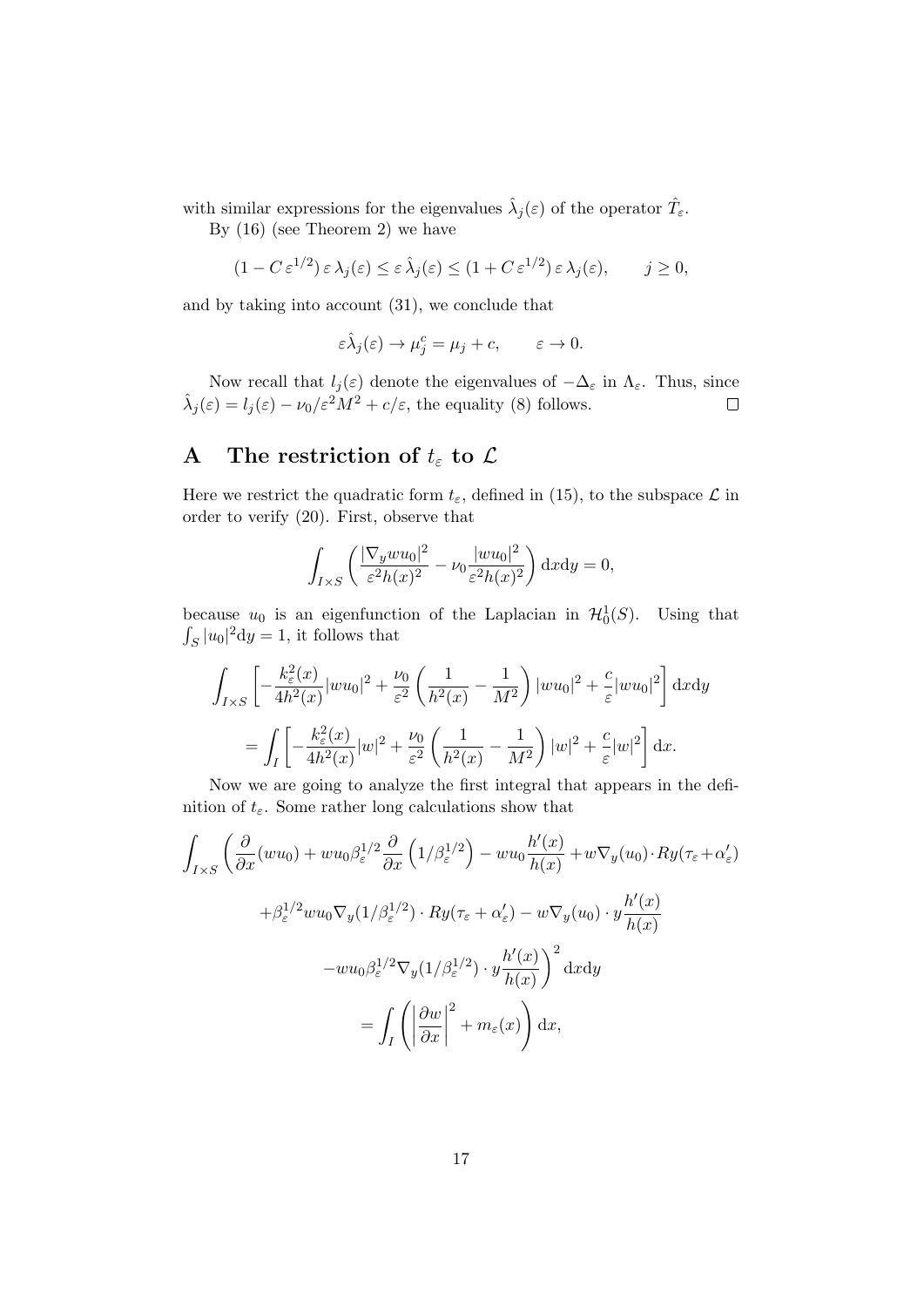with similar expressions for the eigenvalues  $\hat{\lambda}_j(\varepsilon)$  of the operator  $\hat{T}_{\varepsilon}$ .

By (16) (see Theorem 2) we have

$$
(1 - C \,\varepsilon^{1/2}) \,\varepsilon \,\lambda_j(\varepsilon) \le \varepsilon \,\hat{\lambda}_j(\varepsilon) \le (1 + C \,\varepsilon^{1/2}) \,\varepsilon \,\lambda_j(\varepsilon), \qquad j \ge 0,
$$

and by taking into account (31), we conclude that

$$
\varepsilon \hat{\lambda}_j(\varepsilon) \to \mu_j^c = \mu_j + c, \qquad \varepsilon \to 0.
$$

Now recall that  $l_j(\varepsilon)$  denote the eigenvalues of  $-\Delta_{\varepsilon}$  in  $\Lambda_{\varepsilon}$ . Thus, since  $\hat{\lambda}_j(\varepsilon) = l_j(\varepsilon) - \nu_0/\varepsilon^2 M^2 + c/\varepsilon$ , the equality (8) follows.  $\Box$ 

# A The restriction of  $t_{\varepsilon}$  to  $\mathcal{L}$

Here we restrict the quadratic form  $t_{\varepsilon}$ , defined in (15), to the subspace  $\mathcal L$  in order to verify (20). First, observe that

$$
\int_{I\times S} \left( \frac{|\nabla_y w u_0|^2}{\varepsilon^2 h(x)^2} - \nu_0 \frac{|w u_0|^2}{\varepsilon^2 h(x)^2} \right) dxdy = 0,
$$

because  $u_0$  is an eigenfunction of the Laplacian in  $\mathcal{H}_0^1(S)$ . Using that  $\int_S |u_0|^2 \, dy = 1$ , it follows that

$$
\int_{I\times S} \left[ -\frac{k_{\varepsilon}^{2}(x)}{4h^{2}(x)} |wu_{0}|^{2} + \frac{\nu_{0}}{\varepsilon^{2}} \left( \frac{1}{h^{2}(x)} - \frac{1}{M^{2}} \right) |wu_{0}|^{2} + \frac{c}{\varepsilon} |wu_{0}|^{2} \right] dxdy
$$

$$
= \int_{I} \left[ -\frac{k_{\varepsilon}^{2}(x)}{4h^{2}(x)} |w|^{2} + \frac{\nu_{0}}{\varepsilon^{2}} \left( \frac{1}{h^{2}(x)} - \frac{1}{M^{2}} \right) |w|^{2} + \frac{c}{\varepsilon} |w|^{2} \right] dx.
$$

Now we are going to analyze the first integral that appears in the definition of  $t_{\varepsilon}$ . Some rather long calculations show that

$$
\int_{I\times S} \left( \frac{\partial}{\partial x} (wu_0) + w u_0 \beta_{\varepsilon}^{1/2} \frac{\partial}{\partial x} \left( 1/\beta_{\varepsilon}^{1/2} \right) - w u_0 \frac{h'(x)}{h(x)} + w \nabla_y (u_0) \cdot Ry(\tau_{\varepsilon} + \alpha_{\varepsilon}') \n+ \beta_{\varepsilon}^{1/2} w u_0 \nabla_y (1/\beta_{\varepsilon}^{1/2}) \cdot Ry(\tau_{\varepsilon} + \alpha_{\varepsilon}') - w \nabla_y (u_0) \cdot y \frac{h'(x)}{h(x)} \n- w u_0 \beta_{\varepsilon}^{1/2} \nabla_y (1/\beta_{\varepsilon}^{1/2}) \cdot y \frac{h'(x)}{h(x)} \right)^2 dx dy \n= \int_I \left( \left| \frac{\partial w}{\partial x} \right|^2 + m_{\varepsilon}(x) \right) dx,
$$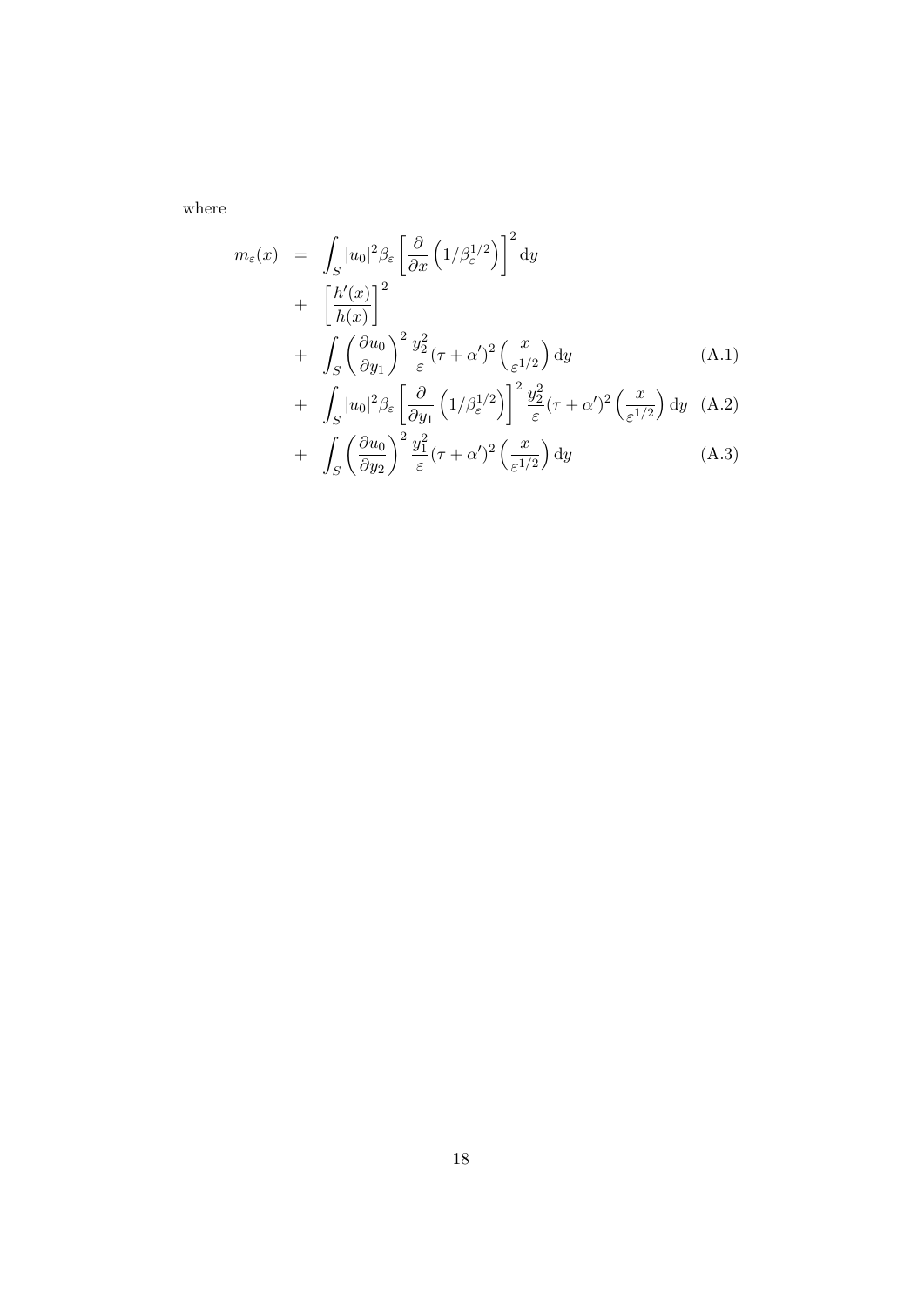where

$$
m_{\varepsilon}(x) = \int_{S} |u_{0}|^{2} \beta_{\varepsilon} \left[ \frac{\partial}{\partial x} \left( 1/\beta_{\varepsilon}^{1/2} \right) \right]^{2} dy
$$
  
+ 
$$
\left[ \frac{h'(x)}{h(x)} \right]^{2} + \int_{S} \left( \frac{\partial u_{0}}{\partial y_{1}} \right)^{2} \frac{y_{2}^{2}}{\varepsilon} (\tau + \alpha')^{2} \left( \frac{x}{\varepsilon^{1/2}} \right) dy
$$
  
+ 
$$
\int |u_{0}|^{2} \beta_{\varepsilon} \left[ \frac{\partial}{\partial x_{1}} \left( 1/\beta_{\varepsilon}^{1/2} \right) \right]^{2} \frac{y_{2}^{2}}{\varepsilon} (\tau + \alpha')^{2} \left( \frac{x}{\varepsilon^{1/2}} \right) dy \quad (A.2)
$$

+ 
$$
\int_{S} |u_0|^2 \beta_{\varepsilon} \left[ \frac{\partial}{\partial y_1} \left( 1/\beta_{\varepsilon}^{1/2} \right) \right] \frac{y_2}{\varepsilon} (\tau + \alpha')^2 \left( \frac{\omega}{\varepsilon^{1/2}} \right) dy
$$
 (A.2)  
+  $\int_{S} \left( \frac{\partial u_0}{\partial y_2} \right)^2 \frac{y_1^2}{\varepsilon} (\tau + \alpha')^2 \left( \frac{x}{\varepsilon^{1/2}} \right) dy$  (A.3)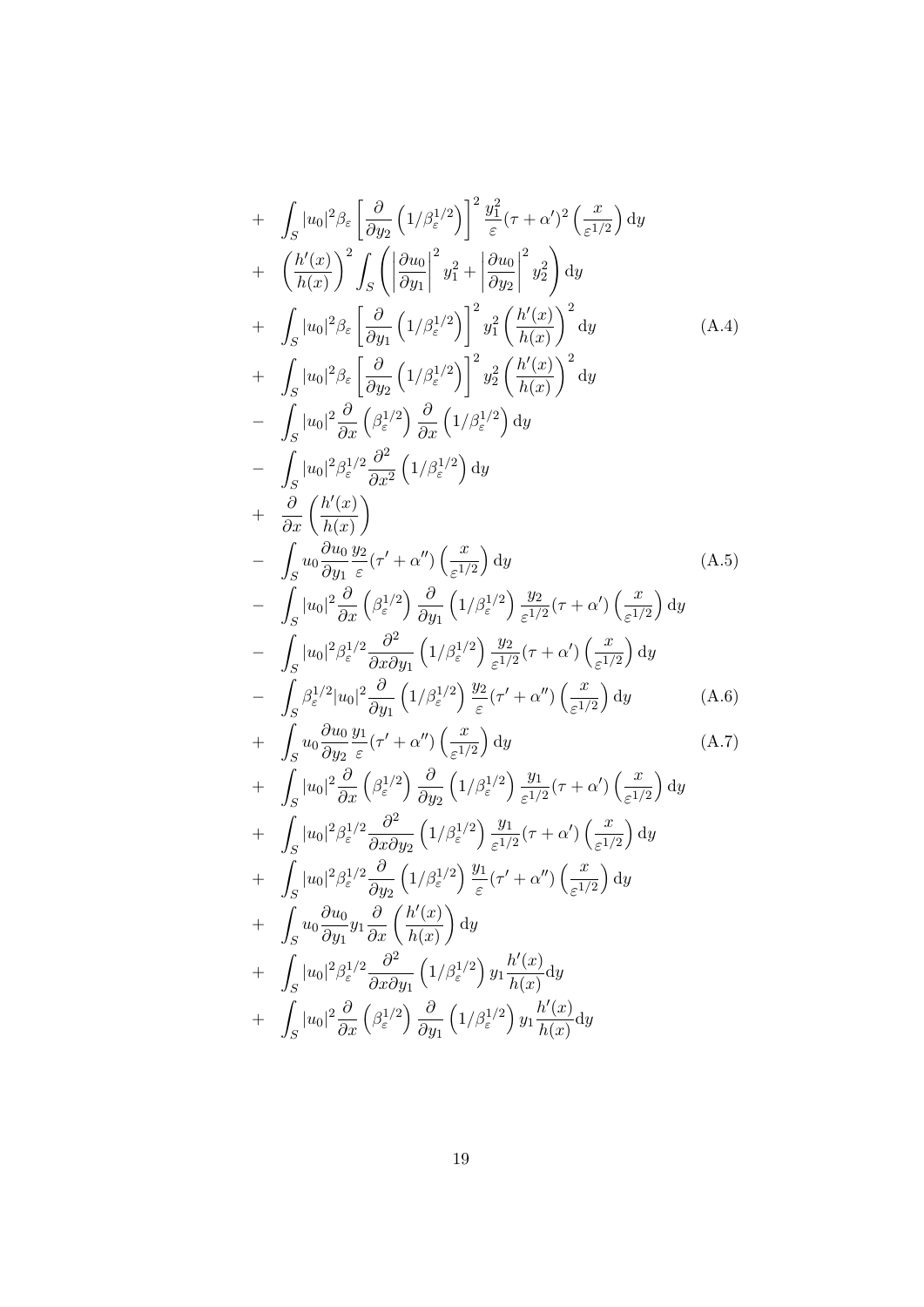+ 
$$
\int_{S} |u_{0}|^{2} \beta_{\varepsilon} \left[ \frac{\partial}{\partial y_{2}} \left( 1/\beta_{\varepsilon}^{1/2} \right) \right]^{2} \frac{y_{1}^{2}}{\varepsilon} (\tau + \alpha')^{2} \left( \frac{x}{\varepsilon^{1/2}} \right) dy
$$
  
+ 
$$
\left( \frac{h'(x)}{h(x)} \right)^{2} \int_{S} \left( \left| \frac{\partial u_{0}}{\partial y_{1}} \right|^{2} y_{1}^{2} + \left| \frac{\partial u_{0}}{\partial y_{2}} \right|^{2} y_{2}^{2} \right) dy
$$
  
+ 
$$
\int_{S} |u_{0}|^{2} \beta_{\varepsilon} \left[ \frac{\partial}{\partial y_{1}} \left( 1/\beta_{\varepsilon}^{1/2} \right) \right]^{2} y_{1}^{2} \left( \frac{h'(x)}{h(x)} \right)^{2} dy
$$
  
+ 
$$
\int_{S} |u_{0}|^{2} \beta_{\varepsilon} \left[ \frac{\partial}{\partial y_{2}} \left( 1/\beta_{\varepsilon}^{1/2} \right) \right]^{2} y_{2}^{2} \left( \frac{h'(x)}{h(x)} \right)^{2} dy
$$
  
- 
$$
\int_{S} |u_{0}|^{2} \frac{\partial}{\partial x} \left( \beta_{\varepsilon}^{1/2} \right) \frac{\partial}{\partial x} \left( 1/\beta_{\varepsilon}^{1/2} \right) dy
$$
  
+ 
$$
\frac{\partial}{\partial x} \left( \frac{h'(x)}{h(x)} \right)
$$
  
- 
$$
\int_{S} u_{0} \frac{\partial u_{0}}{\partial y_{1}} \frac{y_{2}}{\varepsilon} (\tau' + \alpha'') \left( \frac{x}{\varepsilon^{1/2}} \right) dy
$$
  
+ 
$$
\frac{\partial}{\partial x} \left( \frac{h'(x)}{h(x)} \right)
$$
  
- 
$$
\int_{S} |u_{0}|^{2} \frac{\partial}{\partial x} \left( \beta_{\varepsilon}^{1/2} \right) \frac{\partial}{\partial y_{1}} \left( 1/\beta_{\varepsilon}^{1/2} \right) \frac{y_{2}}{\varepsilon^{1/2}} (\tau + \alpha') \left( \frac{x}{\varepsilon^{1/2}} \right) dy
$$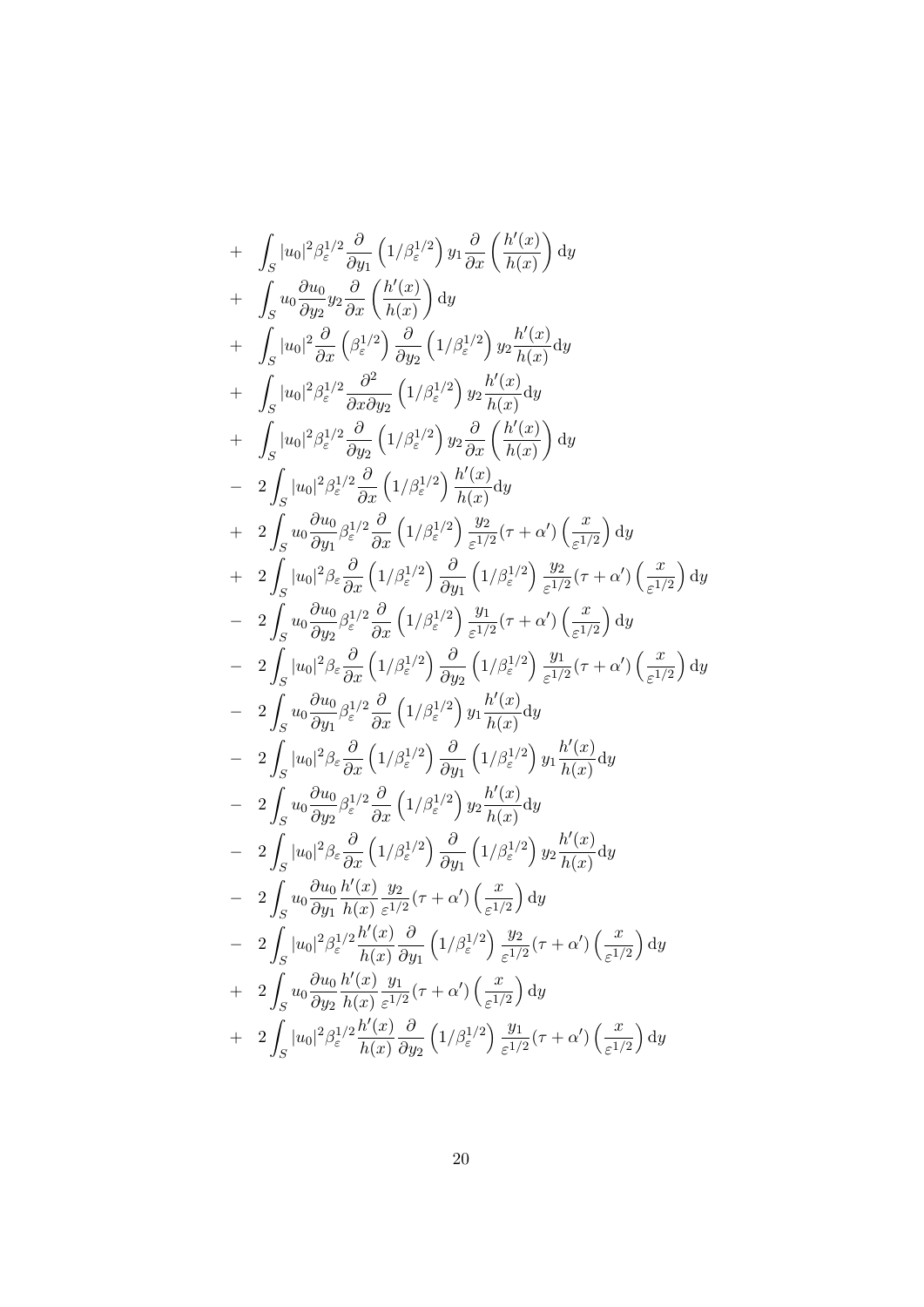+ 
$$
\int_{S} |u_0|^2 \beta_{\varepsilon}^{1/2} \frac{\partial}{\partial y_1} (1/\beta_{\varepsilon}^{1/2}) y_1 \frac{\partial}{\partial x} (\frac{h'(x)}{h(x)}) dy
$$
  
+ 
$$
\int_{S} u_0 \frac{\partial u_0}{\partial y_2} y_2 \frac{\partial}{\partial x} (\frac{h'(x)}{h(x)}) dy
$$
  
+ 
$$
\int_{S} |u_0|^2 \frac{\partial}{\partial x} (\beta_{\varepsilon}^{1/2}) \frac{\partial}{\partial y_2} (1/\beta_{\varepsilon}^{1/2}) y_2 \frac{h'(x)}{h(x)} dy
$$
  
+ 
$$
\int_{S} |u_0|^2 \beta_{\varepsilon}^{1/2} \frac{\partial}{\partial x \partial y_2} (1/\beta_{\varepsilon}^{1/2}) y_2 \frac{h'(x)}{h(x)} dy
$$
  
+ 
$$
\int_{S} |u_0|^2 \beta_{\varepsilon}^{1/2} \frac{\partial}{\partial y_2} (1/\beta_{\varepsilon}^{1/2}) y_2 \frac{\partial}{\partial x} (\frac{h'(x)}{h(x)}) dy
$$
  
- 
$$
2 \int_{S} |u_0|^2 \beta_{\varepsilon}^{1/2} \frac{\partial}{\partial x} (1/\beta_{\varepsilon}^{1/2}) \frac{h'(x)}{h(x)} dy
$$
  
+ 
$$
2 \int_{S} u_0 \frac{\partial u_0}{\partial y_1} \beta_{\varepsilon}^{1/2} \frac{\partial}{\partial x} (1/\beta_{\varepsilon}^{1/2}) \frac{y_2}{\varepsilon^{1/2}} (\tau + \alpha') (\frac{x}{\varepsilon^{1/2}}) dy
$$
  
+ 
$$
2 \int_{S} |u_0|^2 \beta_{\varepsilon} \frac{\partial}{\partial x} (1/\beta_{\varepsilon}^{1/2}) \frac{\partial}{\partial y_1} (1/\beta_{\varepsilon}^{1/2}) \frac{y_2}{\varepsilon^{1/2}} (\tau + \alpha') (\frac{x}{\varepsilon^{1/2}}) dy
$$
  
- 
$$
2 \int_{S} u_0 \frac{\partial u_0}{\partial y_2} \beta_{\varepsilon}^{1/2} \frac{\partial}{\partial x} (1/\beta_{\varepsilon}^{1/2}) \frac{y_1}{\partial y_1} (\
$$

20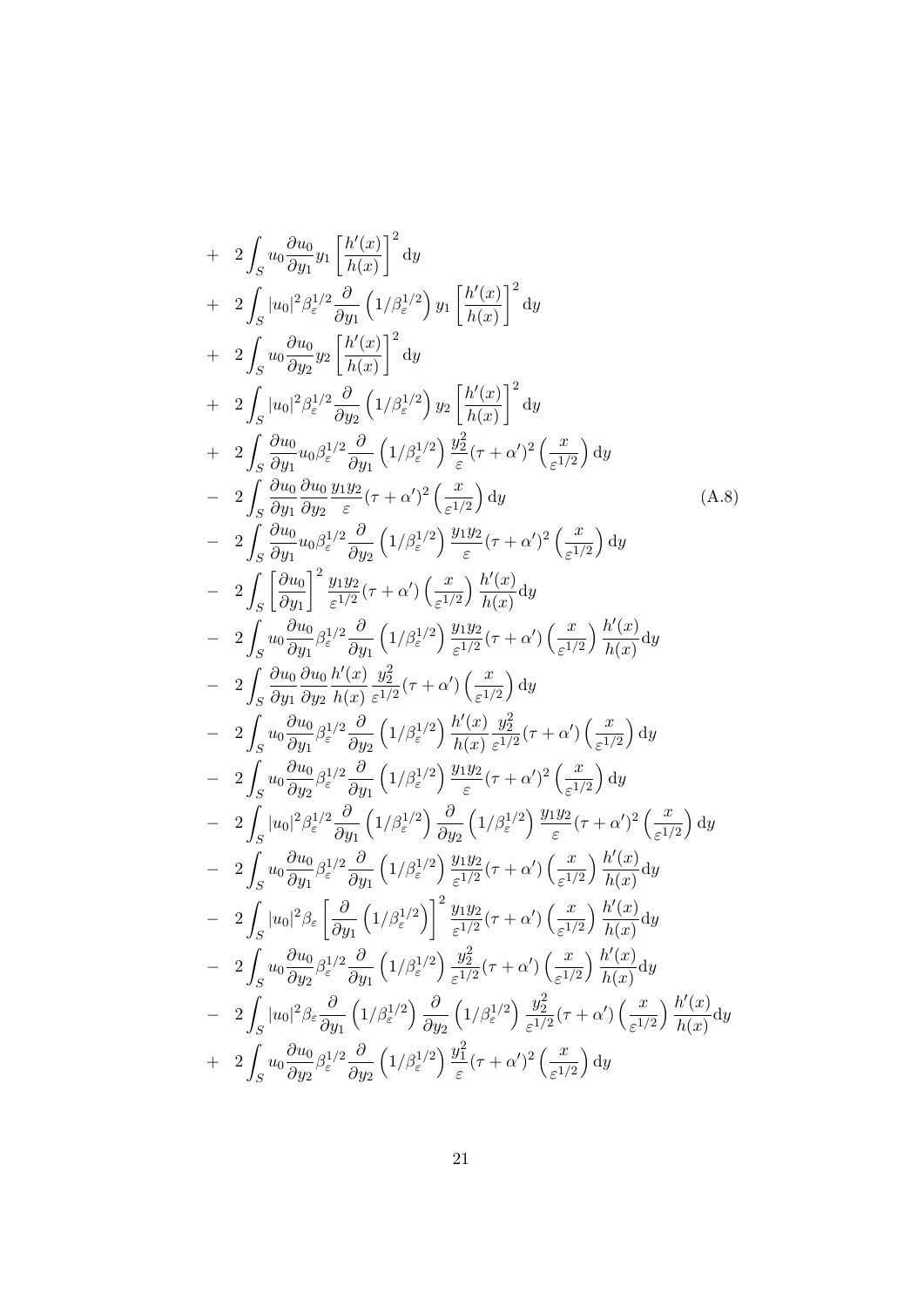+ 
$$
2 \int_{S} u_{0} \frac{\partial u_{0}}{\partial y_{1}} y_{1} \left[ \frac{h'(x)}{h(x)} \right]^{2} dy
$$
  
+  $2 \int_{S} |u_{0}|^{2} \beta_{\epsilon}^{1/2} \frac{\partial}{\partial y_{1}} \left( 1/\beta_{\epsilon}^{1/2} \right) y_{1} \left[ \frac{h'(x)}{h(x)} \right]^{2} dy$   
+  $2 \int_{S} u_{0} \frac{\partial u_{0}}{\partial y_{2}} y_{2} \left[ \frac{h'(x)}{h(x)} \right]^{2} dy$   
+  $2 \int_{S} u_{0} \beta_{\epsilon}^{1/2} \frac{\partial}{\partial y_{2}} \left( 1/\beta_{\epsilon}^{1/2} \right) y_{2} \left[ \frac{h'(x)}{h(x)} \right]^{2} dy$   
+  $2 \int_{S} \frac{\partial u_{0}}{\partial y_{1}} u_{0} \beta_{\epsilon}^{1/2} \frac{\partial}{\partial y_{1}} \left( 1/\beta_{\epsilon}^{1/2} \right) \frac{y_{2}}{\epsilon} (\tau + \alpha')^{2} \left( \frac{x}{\epsilon^{1/2}} \right) dy$   
-  $2 \int_{S} \frac{\partial u_{0}}{\partial y_{1}} \frac{\partial u_{0}}{\partial y_{2}} \frac{y_{1}}{\epsilon} ( \tau + \alpha')^{2} \left( \frac{x}{\epsilon^{1/2}} \right) dy$   
-  $2 \int_{S} \frac{\partial u_{0}}{\partial y_{1}} u_{0} \beta_{\epsilon}^{1/2} \frac{\partial}{\partial y_{2}} \left( 1/\beta_{\epsilon}^{1/2} \right) \frac{y_{1} y_{2}}{\epsilon} (\tau + \alpha')^{2} \left( \frac{x}{\epsilon^{1/2}} \right) dy$   
-  $2 \int_{S} \left[ \frac{\partial u_{0}}{\partial y_{1}} \right] \frac{y_{1} y_{2}}{\epsilon^{1/2}} (\tau + \alpha') \left( \frac{x}{\epsilon^{1/2}} \right) \frac{h'(x)}{h(x)} dy$   
-  $2 \int_{S} u_{0} \frac{\partial u_{0}}{\partial y_{1}} \frac{\partial}{\epsilon^{1/2}} (\tau + \alpha') \left( \frac{x}{\epsilon^{1/2}} \right) \frac{h'(x)}{h(x)} dy$   
-  $2 \int_{S$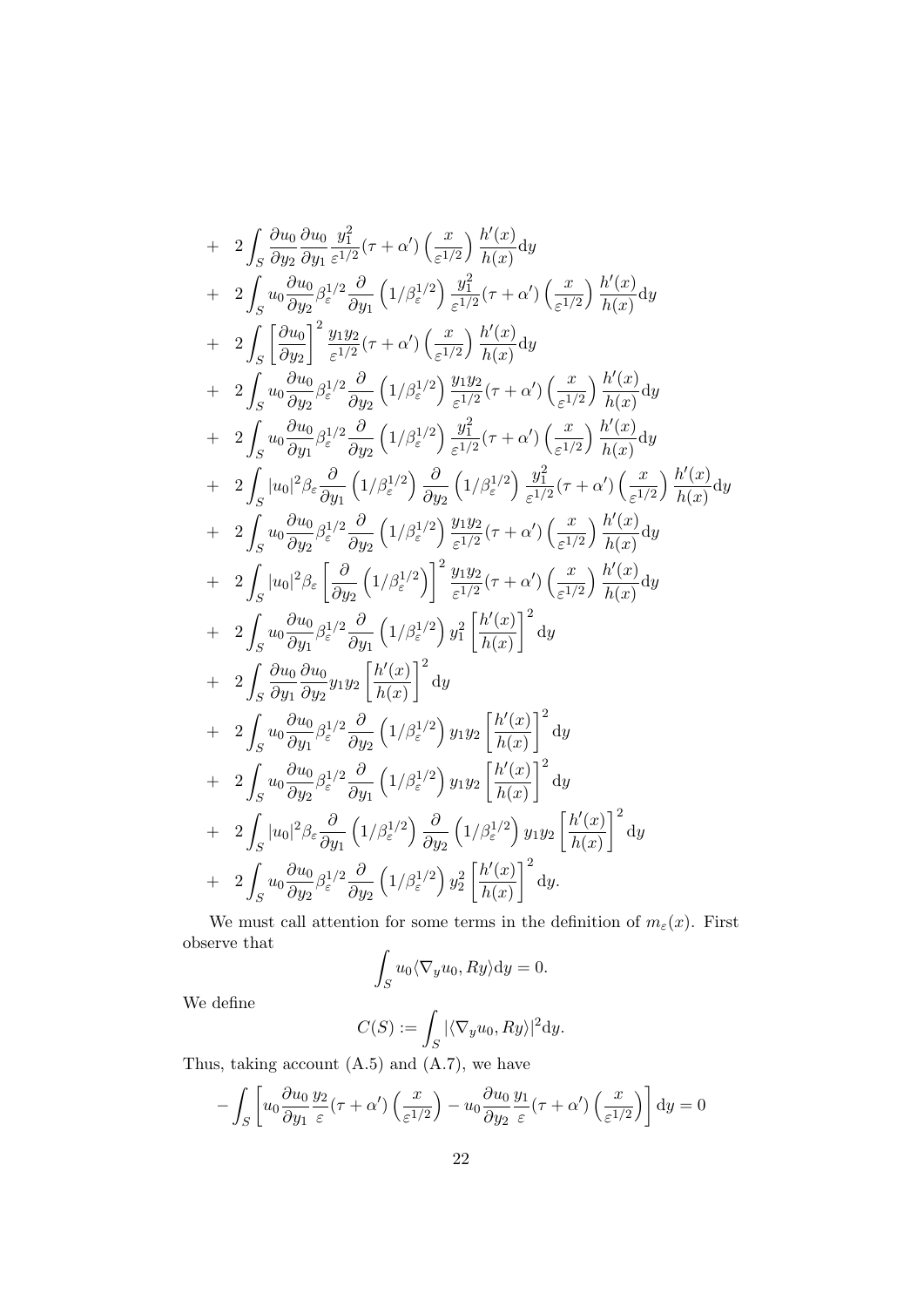+ 
$$
2 \int_{S} \frac{\partial u_{0}}{\partial y_{2}} \frac{\partial u_{0}}{\partial y_{1}} \frac{y_{1}^{2}}{\varepsilon^{1/2}} (\tau + \alpha') \left(\frac{x}{\varepsilon^{1/2}}\right) \frac{h'(x)}{h(x)} dy
$$
  
+  $2 \int_{S} u_{0} \frac{\partial u_{0}}{\partial y_{2}} \beta_{\varepsilon}^{1/2} \frac{\partial}{\partial y_{1}} \left(1/\beta_{\varepsilon}^{1/2}\right) \frac{y_{1}^{2}}{\varepsilon^{1/2}} (\tau + \alpha') \left(\frac{x}{\varepsilon^{1/2}}\right) \frac{h'(x)}{h(x)} dy$   
+  $2 \int_{S} \left[\frac{\partial u_{0}}{\partial y_{2}}\right]^{2} \frac{y_{1}y_{2}}{\varepsilon^{1/2}} (\tau + \alpha') \left(\frac{x}{\varepsilon^{1/2}}\right) \frac{h'(x)}{h(x)} dy$   
+  $2 \int_{S} u_{0} \frac{\partial u_{0}}{\partial y_{2}} \beta_{\varepsilon}^{1/2} \frac{\partial}{\partial y_{2}} \left(1/\beta_{\varepsilon}^{1/2}\right) \frac{y_{1}y_{2}}{\varepsilon^{1/2}} (\tau + \alpha') \left(\frac{x}{\varepsilon^{1/2}}\right) \frac{h'(x)}{h(x)} dy$   
+  $2 \int_{S} u_{0} \frac{\partial u_{0}}{\partial y_{1}} \beta_{\varepsilon}^{1/2} \frac{\partial}{\partial y_{2}} \left(1/\beta_{\varepsilon}^{1/2}\right) \frac{y_{1}^{2}}{\varepsilon^{1/2}} (\tau + \alpha') \left(\frac{x}{\varepsilon^{1/2}}\right) \frac{h'(x)}{h(x)} dy$   
+  $2 \int_{S} u_{0} \frac{\partial u_{0}}{\partial y_{1}} \beta_{\varepsilon}^{1/2} \frac{\partial}{\partial y_{2}} \left(1/\beta_{\varepsilon}^{1/2}\right) \frac{y_{1}^{2}}{\varepsilon^{1/2}} (\tau + \alpha') \left(\frac{x}{\varepsilon^{1/2}}\right) \frac{h'(x)}{h(x)} dy$   
+  $2 \int_{S} u_{0} \frac{\partial u_{0}}{\partial y_{2}} \beta_{\varepsilon}^{1/2} \frac{\partial}{\partial y_{2}} \left($ 

We must call attention for some terms in the definition of  $m_{\varepsilon}(x)$ . First observe that

$$
\int_{S} u_0 \langle \nabla_y u_0, Ry \rangle \mathrm{d}y = 0.
$$

We define

$$
C(S) := \int_S |\langle \nabla_y u_0, Ry \rangle|^2 dy.
$$

Thus, taking account (A.5) and (A.7), we have

$$
- \int_{S} \left[ u_0 \frac{\partial u_0}{\partial y_1} \frac{y_2}{\varepsilon} (\tau + \alpha') \left( \frac{x}{\varepsilon^{1/2}} \right) - u_0 \frac{\partial u_0}{\partial y_2} \frac{y_1}{\varepsilon} (\tau + \alpha') \left( \frac{x}{\varepsilon^{1/2}} \right) \right] dy = 0
$$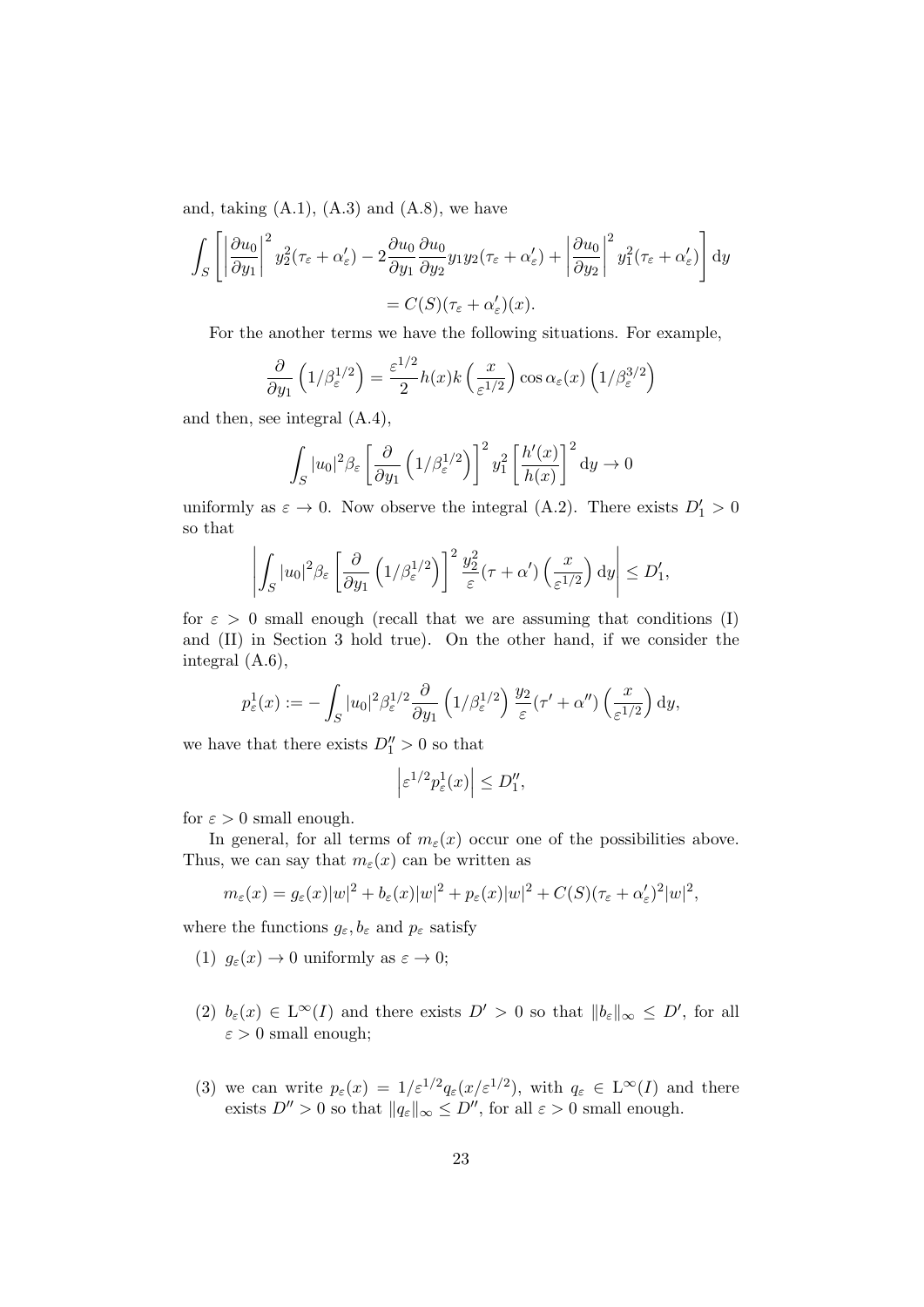and, taking  $(A.1)$ ,  $(A.3)$  and  $(A.8)$ , we have

$$
\int_{S} \left[ \left| \frac{\partial u_0}{\partial y_1} \right|^2 y_2^2 (\tau_{\varepsilon} + \alpha_{\varepsilon}') - 2 \frac{\partial u_0}{\partial y_1} \frac{\partial u_0}{\partial y_2} y_1 y_2 (\tau_{\varepsilon} + \alpha_{\varepsilon}') + \left| \frac{\partial u_0}{\partial y_2} \right|^2 y_1^2 (\tau_{\varepsilon} + \alpha_{\varepsilon}') \right] dy
$$
  
=  $C(S)(\tau_{\varepsilon} + \alpha_{\varepsilon}')(x).$ 

For the another terms we have the following situations. For example,

$$
\frac{\partial}{\partial y_1} \left( 1/\beta_{\varepsilon}^{1/2} \right) = \frac{\varepsilon^{1/2}}{2} h(x) k\left(\frac{x}{\varepsilon^{1/2}}\right) \cos \alpha_{\varepsilon}(x) \left( 1/\beta_{\varepsilon}^{3/2} \right)
$$

and then, see integral (A.4),

$$
\int_{S} |u_0|^2 \beta_{\varepsilon} \left[ \frac{\partial}{\partial y_1} \left( 1/\beta_{\varepsilon}^{1/2} \right) \right]^2 y_1^2 \left[ \frac{h'(x)}{h(x)} \right]^2 dy \to 0
$$

uniformly as  $\varepsilon \to 0$ . Now observe the integral (A.2). There exists  $D'_1 > 0$ so that

$$
\left| \int_S |u_0|^2 \beta_{\varepsilon} \left[ \frac{\partial}{\partial y_1} \left( 1/\beta_{\varepsilon}^{1/2} \right) \right]^2 \frac{y_2^2}{\varepsilon} (\tau + \alpha') \left( \frac{x}{\varepsilon^{1/2}} \right) dy \right| \le D'_1,
$$

for  $\varepsilon > 0$  small enough (recall that we are assuming that conditions (I) and (II) in Section 3 hold true). On the other hand, if we consider the integral (A.6),

$$
p_{\varepsilon}^1(x) := -\int_S |u_0|^2 \beta_{\varepsilon}^{1/2} \frac{\partial}{\partial y_1} \left(1/\beta_{\varepsilon}^{1/2}\right) \frac{y_2}{\varepsilon} (\tau' + \alpha'') \left(\frac{x}{\varepsilon^{1/2}}\right) dy,
$$

we have that there exists  $D_1'' > 0$  so that

$$
\left| \varepsilon^{1/2} p_{\varepsilon}^1(x) \right| \le D_1''
$$

for  $\varepsilon > 0$  small enough.

In general, for all terms of  $m_{\varepsilon}(x)$  occur one of the possibilities above. Thus, we can say that  $m_{\varepsilon}(x)$  can be written as

$$
m_{\varepsilon}(x) = g_{\varepsilon}(x)|w|^2 + b_{\varepsilon}(x)|w|^2 + p_{\varepsilon}(x)|w|^2 + C(S)(\tau_{\varepsilon} + \alpha_{\varepsilon}')^2|w|^2,
$$

where the functions  $g_{\varepsilon}, b_{\varepsilon}$  and  $p_{\varepsilon}$  satisfy

- (1)  $g_{\varepsilon}(x) \to 0$  uniformly as  $\varepsilon \to 0$ ;
- (2)  $b_{\varepsilon}(x) \in L^{\infty}(I)$  and there exists  $D' > 0$  so that  $||b_{\varepsilon}||_{\infty} \leq D'$ , for all  $\varepsilon > 0$  small enough;
- (3) we can write  $p_{\varepsilon}(x) = 1/\varepsilon^{1/2} q_{\varepsilon}(x/\varepsilon^{1/2})$ , with  $q_{\varepsilon} \in L^{\infty}(I)$  and there exists  $D'' > 0$  so that  $||q_{\varepsilon}||_{\infty} \le D''$ , for all  $\varepsilon > 0$  small enough.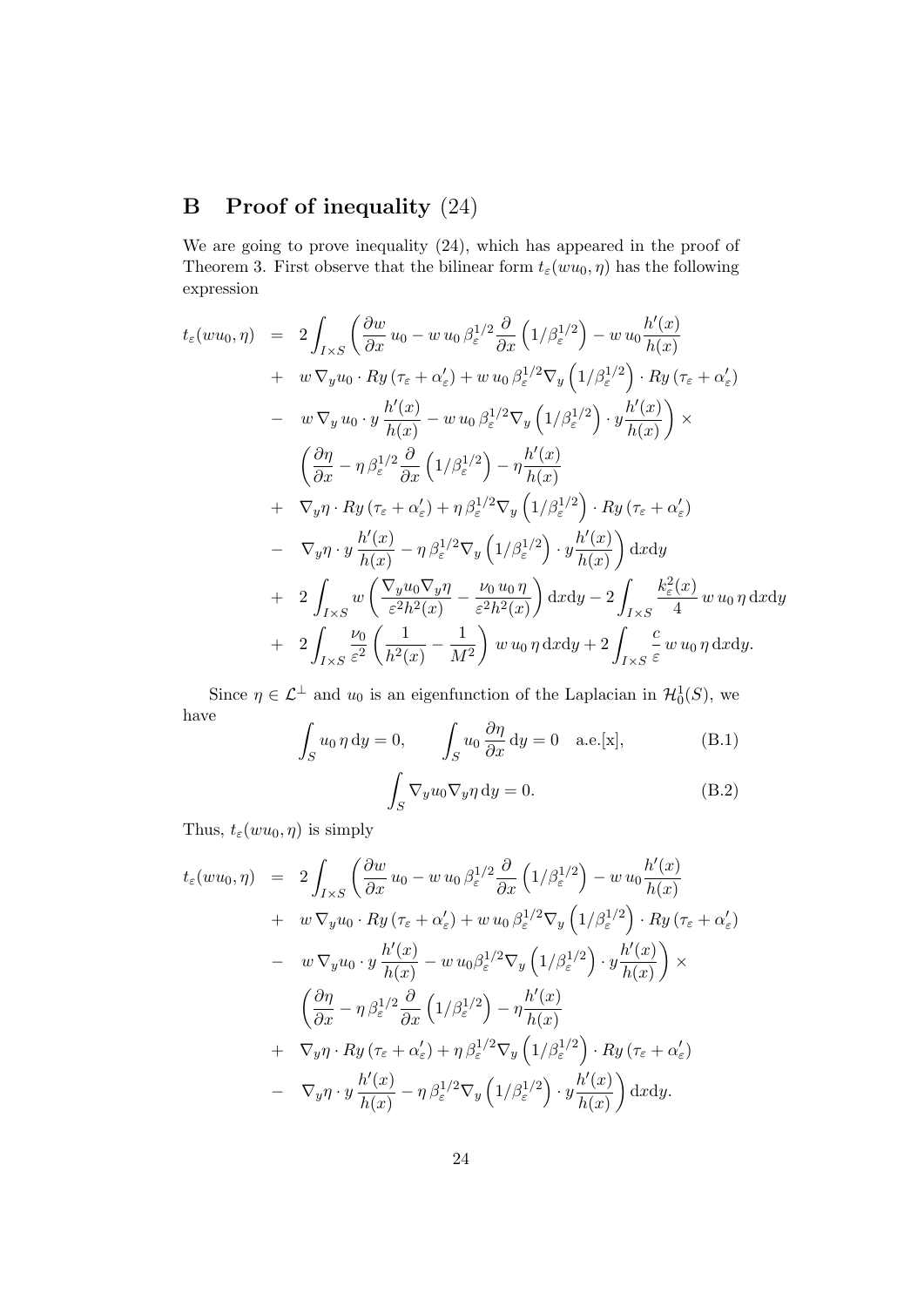# B Proof of inequality (24)

We are going to prove inequality (24), which has appeared in the proof of Theorem 3. First observe that the bilinear form  $t_{\varepsilon}(wu_0, \eta)$  has the following expression

$$
t_{\varepsilon}(wu_{0},\eta) = 2 \int_{I\times S} \left( \frac{\partial w}{\partial x} u_{0} - w u_{0} \beta_{\varepsilon}^{1/2} \frac{\partial}{\partial x} \left( 1/\beta_{\varepsilon}^{1/2} \right) - w u_{0} \frac{h'(x)}{h(x)} + w \nabla_{y} u_{0} \cdot Ry \left( \tau_{\varepsilon} + \alpha_{\varepsilon}' \right) + w u_{0} \beta_{\varepsilon}^{1/2} \nabla_{y} \left( 1/\beta_{\varepsilon}^{1/2} \right) \cdot Ry \left( \tau_{\varepsilon} + \alpha_{\varepsilon}' \right) - w \nabla_{y} u_{0} \cdot y \frac{h'(x)}{h(x)} - w u_{0} \beta_{\varepsilon}^{1/2} \nabla_{y} \left( 1/\beta_{\varepsilon}^{1/2} \right) \cdot y \frac{h'(x)}{h(x)} \right) \times \n\left( \frac{\partial \eta}{\partial x} - \eta \beta_{\varepsilon}^{1/2} \frac{\partial}{\partial x} \left( 1/\beta_{\varepsilon}^{1/2} \right) - \eta \frac{h'(x)}{h(x)} + \nabla_{y} \eta \cdot Ry \left( \tau_{\varepsilon} + \alpha_{\varepsilon}' \right) + \eta \beta_{\varepsilon}^{1/2} \nabla_{y} \left( 1/\beta_{\varepsilon}^{1/2} \right) \cdot Ry \left( \tau_{\varepsilon} + \alpha_{\varepsilon}' \right) - \nabla_{y} \eta \cdot y \frac{h'(x)}{h(x)} - \eta \beta_{\varepsilon}^{1/2} \nabla_{y} \left( 1/\beta_{\varepsilon}^{1/2} \right) \cdot y \frac{h'(x)}{h(x)} \right) \mathrm{d}x \mathrm{d}y + 2 \int_{I\times S} w \left( \frac{\nabla_{y} u_{0} \nabla_{y} \eta}{\varepsilon^{2} h^{2}(x)} - \frac{\nu_{0} u_{0} \eta}{\varepsilon^{2} h^{2}(x)} \right) \mathrm{d}x \mathrm{d}y - 2 \int_{I\times S} \frac{k_{\varepsilon}^{2}(x)}{4} w u_{0} \eta \mathrm{d}x \mathrm{d}y + 2 \int_{I\times S} \
$$

Since  $\eta \in \mathcal{L}^{\perp}$  and  $u_0$  is an eigenfunction of the Laplacian in  $\mathcal{H}_0^1(S)$ , we have

$$
\int_{S} u_0 \eta \, dy = 0, \qquad \int_{S} u_0 \frac{\partial \eta}{\partial x} \, dy = 0 \quad \text{a.e.}[\mathbf{x}],
$$
\n
$$
\int_{S} \nabla_y u_0 \nabla_y \eta \, dy = 0.
$$
\n(B.1)\n
$$
(B.2)
$$

Thus,  $t_{\varepsilon}(wu_0, \eta)$  is simply

$$
t_{\varepsilon}(wu_{0},\eta) = 2 \int_{I\times S} \left( \frac{\partial w}{\partial x} u_{0} - w u_{0} \beta_{\varepsilon}^{1/2} \frac{\partial}{\partial x} \left( 1/\beta_{\varepsilon}^{1/2} \right) - w u_{0} \frac{h'(x)}{h(x)} + w \nabla_{y} u_{0} \cdot Ry \left( \tau_{\varepsilon} + \alpha_{\varepsilon}' \right) + w u_{0} \beta_{\varepsilon}^{1/2} \nabla_{y} \left( 1/\beta_{\varepsilon}^{1/2} \right) \cdot Ry \left( \tau_{\varepsilon} + \alpha_{\varepsilon}' \right) - w \nabla_{y} u_{0} \cdot y \frac{h'(x)}{h(x)} - w u_{0} \beta_{\varepsilon}^{1/2} \nabla_{y} \left( 1/\beta_{\varepsilon}^{1/2} \right) \cdot y \frac{h'(x)}{h(x)} \right) \times \n\left( \frac{\partial \eta}{\partial x} - \eta \beta_{\varepsilon}^{1/2} \frac{\partial}{\partial x} \left( 1/\beta_{\varepsilon}^{1/2} \right) - \eta \frac{h'(x)}{h(x)} \n+ \nabla_{y} \eta \cdot Ry \left( \tau_{\varepsilon} + \alpha_{\varepsilon}' \right) + \eta \beta_{\varepsilon}^{1/2} \nabla_{y} \left( 1/\beta_{\varepsilon}^{1/2} \right) \cdot Ry \left( \tau_{\varepsilon} + \alpha_{\varepsilon}' \right) \n- \nabla_{y} \eta \cdot y \frac{h'(x)}{h(x)} - \eta \beta_{\varepsilon}^{1/2} \nabla_{y} \left( 1/\beta_{\varepsilon}^{1/2} \right) \cdot y \frac{h'(x)}{h(x)} dx dy.
$$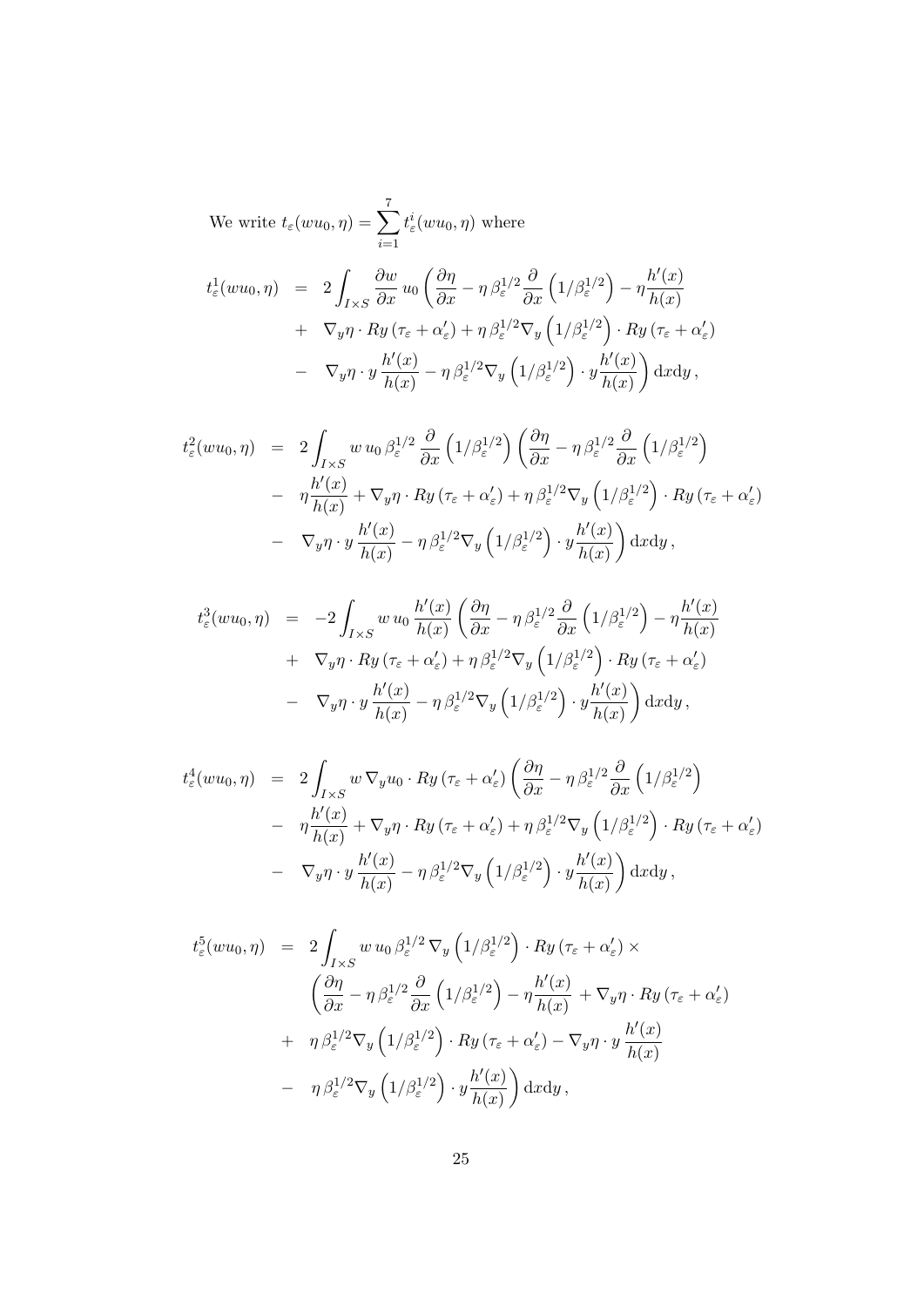We write  $t_{\varepsilon}(wu_0, \eta) = \sum$ 7  $\frac{i=1}{i}$  $t^i_\varepsilon( w u_0, \eta)$  where

$$
t_{\varepsilon}^{1}(wu_{0},\eta) = 2 \int_{I\times S} \frac{\partial w}{\partial x} u_{0} \left( \frac{\partial \eta}{\partial x} - \eta \beta_{\varepsilon}^{1/2} \frac{\partial}{\partial x} \left( 1/\beta_{\varepsilon}^{1/2} \right) - \eta \frac{h'(x)}{h(x)} \right. \\
\left. + \nabla_{y}\eta \cdot Ry \left( \tau_{\varepsilon} + \alpha_{\varepsilon}' \right) + \eta \beta_{\varepsilon}^{1/2} \nabla_{y} \left( 1/\beta_{\varepsilon}^{1/2} \right) \cdot Ry \left( \tau_{\varepsilon} + \alpha_{\varepsilon}' \right) \right. \\
\left. - \nabla_{y}\eta \cdot y \frac{h'(x)}{h(x)} - \eta \beta_{\varepsilon}^{1/2} \nabla_{y} \left( 1/\beta_{\varepsilon}^{1/2} \right) \cdot y \frac{h'(x)}{h(x)} \right) dx dy,
$$

$$
t_{\varepsilon}^{2}(wu_{0},\eta) = 2 \int_{I\times S} w u_{0} \beta_{\varepsilon}^{1/2} \frac{\partial}{\partial x} \left(1/\beta_{\varepsilon}^{1/2}\right) \left(\frac{\partial \eta}{\partial x} - \eta \beta_{\varepsilon}^{1/2} \frac{\partial}{\partial x} \left(1/\beta_{\varepsilon}^{1/2}\right) \right)
$$
  

$$
- \eta \frac{h'(x)}{h(x)} + \nabla_{y}\eta \cdot Ry \left(\tau_{\varepsilon} + \alpha_{\varepsilon}'\right) + \eta \beta_{\varepsilon}^{1/2} \nabla_{y} \left(1/\beta_{\varepsilon}^{1/2}\right) \cdot Ry \left(\tau_{\varepsilon} + \alpha_{\varepsilon}'\right)
$$
  

$$
- \nabla_{y}\eta \cdot y \frac{h'(x)}{h(x)} - \eta \beta_{\varepsilon}^{1/2} \nabla_{y} \left(1/\beta_{\varepsilon}^{1/2}\right) \cdot y \frac{h'(x)}{h(x)} dx dy,
$$

$$
t_{\varepsilon}^{3}(wu_{0},\eta) = -2 \int_{I\times S} w u_{0} \frac{h'(x)}{h(x)} \left(\frac{\partial \eta}{\partial x} - \eta \beta_{\varepsilon}^{1/2} \frac{\partial}{\partial x} \left(1/\beta_{\varepsilon}^{1/2}\right) - \eta \frac{h'(x)}{h(x)} + \nabla_{y}\eta \cdot Ry \left(\tau_{\varepsilon} + \alpha_{\varepsilon}'\right) + \eta \beta_{\varepsilon}^{1/2} \nabla_{y} \left(1/\beta_{\varepsilon}^{1/2}\right) \cdot Ry \left(\tau_{\varepsilon} + \alpha_{\varepsilon}'\right) - \nabla_{y}\eta \cdot y \frac{h'(x)}{h(x)} - \eta \beta_{\varepsilon}^{1/2} \nabla_{y} \left(1/\beta_{\varepsilon}^{1/2}\right) \cdot y \frac{h'(x)}{h(x)}\right) \mathrm{d}x \mathrm{d}y, \tag{10}
$$

$$
t_{\varepsilon}^{4}(wu_{0},\eta) = 2 \int_{I\times S} w \nabla_{y} u_{0} \cdot Ry \left(\tau_{\varepsilon} + \alpha_{\varepsilon}'\right) \left(\frac{\partial \eta}{\partial x} - \eta \beta_{\varepsilon}^{1/2} \frac{\partial}{\partial x} \left(1/\beta_{\varepsilon}^{1/2}\right) - \eta \frac{h'(x)}{h(x)} + \nabla_{y}\eta \cdot Ry \left(\tau_{\varepsilon} + \alpha_{\varepsilon}'\right) + \eta \beta_{\varepsilon}^{1/2} \nabla_{y} \left(1/\beta_{\varepsilon}^{1/2}\right) \cdot Ry \left(\tau_{\varepsilon} + \alpha_{\varepsilon}'\right) - \nabla_{y}\eta \cdot y \frac{h'(x)}{h(x)} - \eta \beta_{\varepsilon}^{1/2} \nabla_{y} \left(1/\beta_{\varepsilon}^{1/2}\right) \cdot y \frac{h'(x)}{h(x)} dx dy,
$$

$$
t_{\varepsilon}^{5}(wu_{0},\eta) = 2 \int_{I\times S} w u_{0} \beta_{\varepsilon}^{1/2} \nabla_{y} \left(1/\beta_{\varepsilon}^{1/2}\right) \cdot Ry \left(\tau_{\varepsilon} + \alpha_{\varepsilon}'\right) \times \n\left(\frac{\partial \eta}{\partial x} - \eta \beta_{\varepsilon}^{1/2} \frac{\partial}{\partial x} \left(1/\beta_{\varepsilon}^{1/2}\right) - \eta \frac{h'(x)}{h(x)} + \nabla_{y} \eta \cdot Ry \left(\tau_{\varepsilon} + \alpha_{\varepsilon}'\right) \right. \n+ \eta \beta_{\varepsilon}^{1/2} \nabla_{y} \left(1/\beta_{\varepsilon}^{1/2}\right) \cdot Ry \left(\tau_{\varepsilon} + \alpha_{\varepsilon}'\right) - \nabla_{y} \eta \cdot y \frac{h'(x)}{h(x)} \n- \eta \beta_{\varepsilon}^{1/2} \nabla_{y} \left(1/\beta_{\varepsilon}^{1/2}\right) \cdot y \frac{h'(x)}{h(x)} dx dy,
$$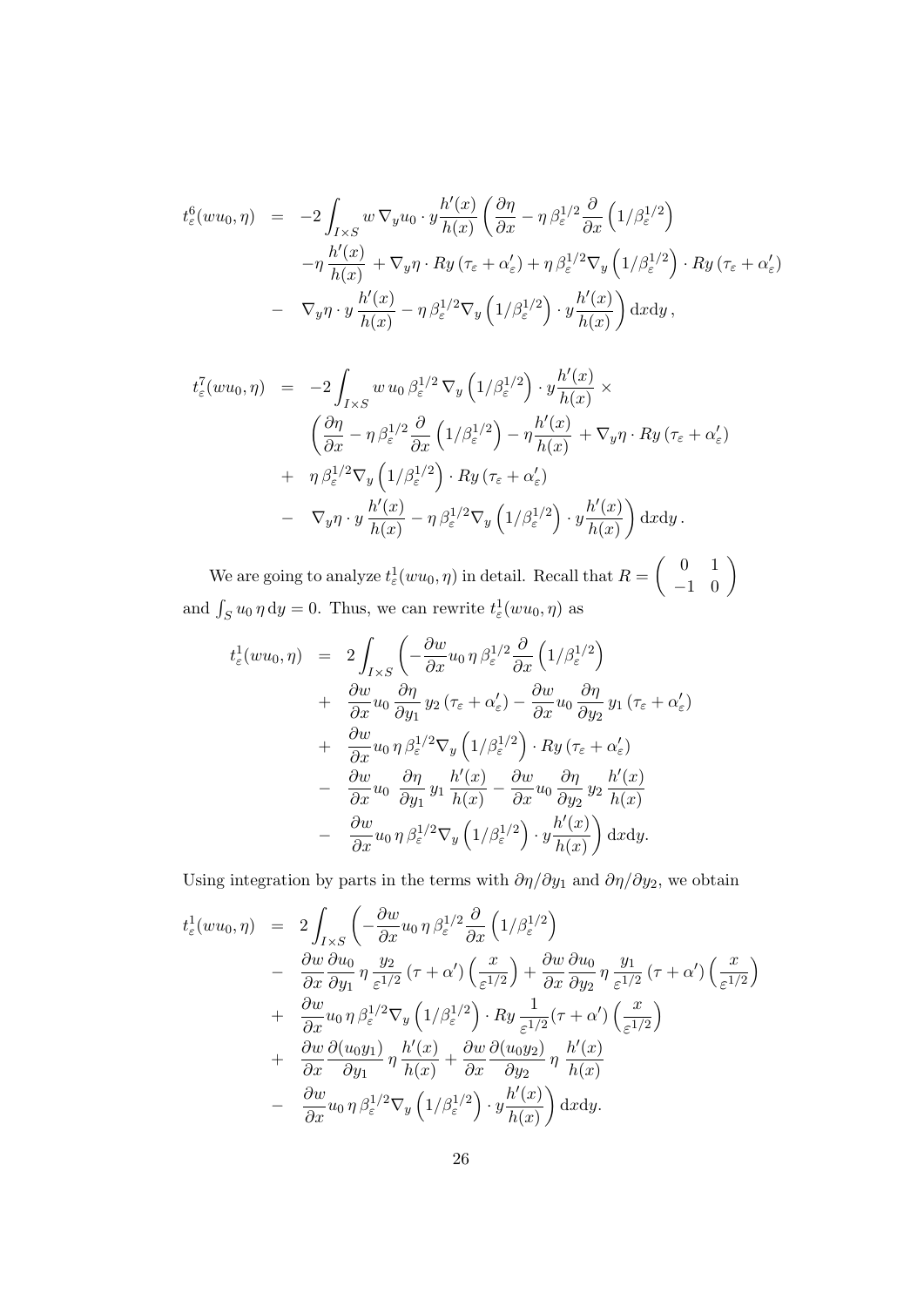$$
t_{\varepsilon}^{6}(wu_{0},\eta) = -2 \int_{I\times S} w \nabla_{y} u_{0} \cdot y \frac{h'(x)}{h(x)} \left(\frac{\partial \eta}{\partial x} - \eta \beta_{\varepsilon}^{1/2} \frac{\partial}{\partial x} \left(1/\beta_{\varepsilon}^{1/2}\right) - \eta \frac{h'(x)}{h(x)} + \nabla_{y}\eta \cdot Ry \left(\tau_{\varepsilon} + \alpha_{\varepsilon}'\right) + \eta \beta_{\varepsilon}^{1/2} \nabla_{y} \left(1/\beta_{\varepsilon}^{1/2}\right) \cdot Ry \left(\tau_{\varepsilon} + \alpha_{\varepsilon}'\right) - \nabla_{y}\eta \cdot y \frac{h'(x)}{h(x)} - \eta \beta_{\varepsilon}^{1/2} \nabla_{y} \left(1/\beta_{\varepsilon}^{1/2}\right) \cdot y \frac{h'(x)}{h(x)}\right) dx dy,
$$

$$
t_{\varepsilon}^{7}(wu_{0},\eta) = -2 \int_{I\times S} w u_{0} \beta_{\varepsilon}^{1/2} \nabla_{y} \left(1/\beta_{\varepsilon}^{1/2}\right) \cdot y \frac{h'(x)}{h(x)} \times \n\left(\frac{\partial \eta}{\partial x} - \eta \beta_{\varepsilon}^{1/2} \frac{\partial}{\partial x} \left(1/\beta_{\varepsilon}^{1/2}\right) - \eta \frac{h'(x)}{h(x)} + \nabla_{y} \eta \cdot Ry \left(\tau_{\varepsilon} + \alpha_{\varepsilon}'\right) \right. \n+ \eta \beta_{\varepsilon}^{1/2} \nabla_{y} \left(1/\beta_{\varepsilon}^{1/2}\right) \cdot Ry \left(\tau_{\varepsilon} + \alpha_{\varepsilon}'\right) \n- \nabla_{y} \eta \cdot y \frac{h'(x)}{h(x)} - \eta \beta_{\varepsilon}^{1/2} \nabla_{y} \left(1/\beta_{\varepsilon}^{1/2}\right) \cdot y \frac{h'(x)}{h(x)}\right) dxdy.
$$

We are going to analyze  $t_{\varepsilon}^1(wu_0, \eta)$  in detail. Recall that  $R = \left(\begin{array}{cc} 0 & 1 \ -1 & 0 \end{array}\right)$ and  $\int_S u_0 \eta \, dy = 0$ . Thus, we can rewrite  $t^1_\varepsilon(wu_0, \eta)$  as

$$
t_{\varepsilon}^{1}(wu_{0},\eta) = 2 \int_{I\times S} \left( -\frac{\partial w}{\partial x} u_{0} \eta \beta_{\varepsilon}^{1/2} \frac{\partial}{\partial x} \left( 1/\beta_{\varepsilon}^{1/2} \right) \right. \\ \left. + \frac{\partial w}{\partial x} u_{0} \frac{\partial \eta}{\partial y_{1}} y_{2} \left( \tau_{\varepsilon} + \alpha_{\varepsilon}' \right) - \frac{\partial w}{\partial x} u_{0} \frac{\partial \eta}{\partial y_{2}} y_{1} \left( \tau_{\varepsilon} + \alpha_{\varepsilon}' \right) \right. \\ \left. + \frac{\partial w}{\partial x} u_{0} \eta \beta_{\varepsilon}^{1/2} \nabla_{y} \left( 1/\beta_{\varepsilon}^{1/2} \right) \cdot Ry \left( \tau_{\varepsilon} + \alpha_{\varepsilon}' \right) \right. \\ \left. - \frac{\partial w}{\partial x} u_{0} \frac{\partial \eta}{\partial y_{1}} y_{1} \frac{h'(x)}{h(x)} - \frac{\partial w}{\partial x} u_{0} \frac{\partial \eta}{\partial y_{2}} y_{2} \frac{h'(x)}{h(x)} \right. \\ \left. - \frac{\partial w}{\partial x} u_{0} \eta \beta_{\varepsilon}^{1/2} \nabla_{y} \left( 1/\beta_{\varepsilon}^{1/2} \right) \cdot y \frac{h'(x)}{h(x)} \right) dx dy.
$$

Using integration by parts in the terms with  $\partial \eta / \partial y_1$  and  $\partial \eta / \partial y_2$ , we obtain

$$
t_{\varepsilon}^{1}(wu_{0},\eta) = 2 \int_{I\times S} \left( -\frac{\partial w}{\partial x} u_{0} \eta \beta_{\varepsilon}^{1/2} \frac{\partial}{\partial x} \left( 1/\beta_{\varepsilon}^{1/2} \right) \right. \left. - \frac{\partial w}{\partial x} \frac{\partial u_{0}}{\partial y_{1}} \eta \frac{y_{2}}{\varepsilon^{1/2}} \left( \tau + \alpha' \right) \left( \frac{x}{\varepsilon^{1/2}} \right) + \frac{\partial w}{\partial x} \frac{\partial u_{0}}{\partial y_{2}} \eta \frac{y_{1}}{\varepsilon^{1/2}} \left( \tau + \alpha' \right) \left( \frac{x}{\varepsilon^{1/2}} \right) \right. \left. + \frac{\partial w}{\partial x} u_{0} \eta \beta_{\varepsilon}^{1/2} \nabla_{y} \left( 1/\beta_{\varepsilon}^{1/2} \right) \cdot Ry \frac{1}{\varepsilon^{1/2}} \left( \tau + \alpha' \right) \left( \frac{x}{\varepsilon^{1/2}} \right) \right. \left. + \frac{\partial w}{\partial x} \frac{\partial (u_{0}y_{1})}{\partial y_{1}} \eta \frac{h'(x)}{h(x)} + \frac{\partial w}{\partial x} \frac{\partial (u_{0}y_{2})}{\partial y_{2}} \eta \frac{h'(x)}{h(x)} \right. \left. - \frac{\partial w}{\partial x} u_{0} \eta \beta_{\varepsilon}^{1/2} \nabla_{y} \left( 1/\beta_{\varepsilon}^{1/2} \right) \cdot y \frac{h'(x)}{h(x)} \right) dx dy.
$$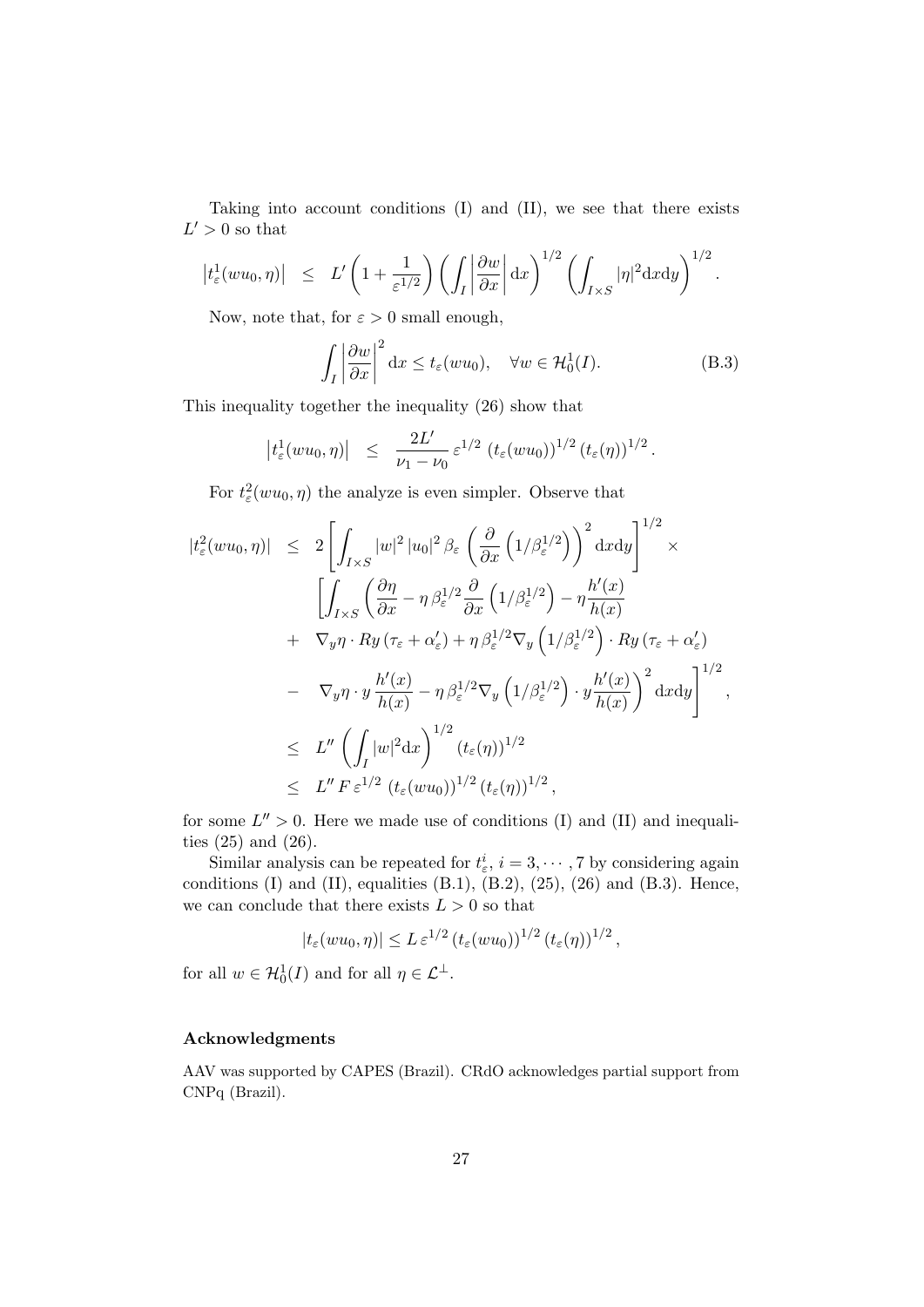Taking into account conditions (I) and (II), we see that there exists  $L' > 0$  so that

$$
\left|t_{\varepsilon}^{1}(wu_{0},\eta)\right| \leq L' \left(1+\frac{1}{\varepsilon^{1/2}}\right) \left(\int_{I} \left|\frac{\partial w}{\partial x}\right| \mathrm{d}x\right)^{1/2} \left(\int_{I\times S} |\eta|^{2} \mathrm{d}x \mathrm{d}y\right)^{1/2}.
$$

Now, note that, for  $\varepsilon > 0$  small enough,

$$
\int_{I} \left| \frac{\partial w}{\partial x} \right|^{2} dx \le t_{\varepsilon}(wu_{0}), \quad \forall w \in \mathcal{H}_{0}^{1}(I). \tag{B.3}
$$

This inequality together the inequality (26) show that

$$
|t_{\varepsilon}^{1}(wu_0, \eta)| \leq \frac{2L'}{\nu_1 - \nu_0} \varepsilon^{1/2} (t_{\varepsilon}(wu_0))^{1/2} (t_{\varepsilon}(\eta))^{1/2}.
$$

For  $t_{\varepsilon}^2(wu_0, \eta)$  the analyze is even simpler. Observe that

$$
|t_{\varepsilon}^{2}(wu_{0},\eta)| \leq 2\left[\int_{I\times S}|w|^{2}|u_{0}|^{2}\beta_{\varepsilon}\left(\frac{\partial}{\partial x}\left(1/\beta_{\varepsilon}^{1/2}\right)\right)^{2}\mathrm{d}x\mathrm{d}y\right]^{1/2} \times \left[\int_{I\times S}\left(\frac{\partial\eta}{\partial x}-\eta\,\beta_{\varepsilon}^{1/2}\frac{\partial}{\partial x}\left(1/\beta_{\varepsilon}^{1/2}\right)-\eta\frac{h'(x)}{h(x)}\right.\\ \left.+\nabla_{y}\eta\cdot Ry\left(\tau_{\varepsilon}+\alpha_{\varepsilon}'\right)+\eta\,\beta_{\varepsilon}^{1/2}\nabla_{y}\left(1/\beta_{\varepsilon}^{1/2}\right)\cdot Ry\left(\tau_{\varepsilon}+\alpha_{\varepsilon}'\right)\right.\\ \left.-\nabla_{y}\eta\cdot y\frac{h'(x)}{h(x)}-\eta\,\beta_{\varepsilon}^{1/2}\nabla_{y}\left(1/\beta_{\varepsilon}^{1/2}\right)\cdot y\frac{h'(x)}{h(x)}\right)^{2}\mathrm{d}x\mathrm{d}y\right]^{1/2},\leq L''\left(\int_{I}|w|^{2}\mathrm{d}x\right)^{1/2}(t_{\varepsilon}(\eta))^{1/2},\leq L''\,F\,\varepsilon^{1/2}\,(t_{\varepsilon}(wu_{0}))^{1/2}\,(t_{\varepsilon}(\eta))^{1/2},
$$

for some  $L'' > 0$ . Here we made use of conditions (I) and (II) and inequalities (25) and (26).

Similar analysis can be repeated for  $t^i_\varepsilon$ ,  $i = 3, \dots, 7$  by considering again conditions (I) and (II), equalities  $(B.1)$ ,  $(B.2)$ ,  $(25)$ ,  $(26)$  and  $(B.3)$ . Hence, we can conclude that there exists  $L > 0$  so that

$$
|t_{\varepsilon}(wu_0,\eta)| \leq L \, \varepsilon^{1/2} \left(t_{\varepsilon}(wu_0)\right)^{1/2} \left(t_{\varepsilon}(\eta)\right)^{1/2},
$$

for all  $w \in \mathcal{H}_0^1(I)$  and for all  $\eta \in \mathcal{L}^{\perp}$ .

#### Acknowledgments

AAV was supported by CAPES (Brazil). CRdO acknowledges partial support from CNPq (Brazil).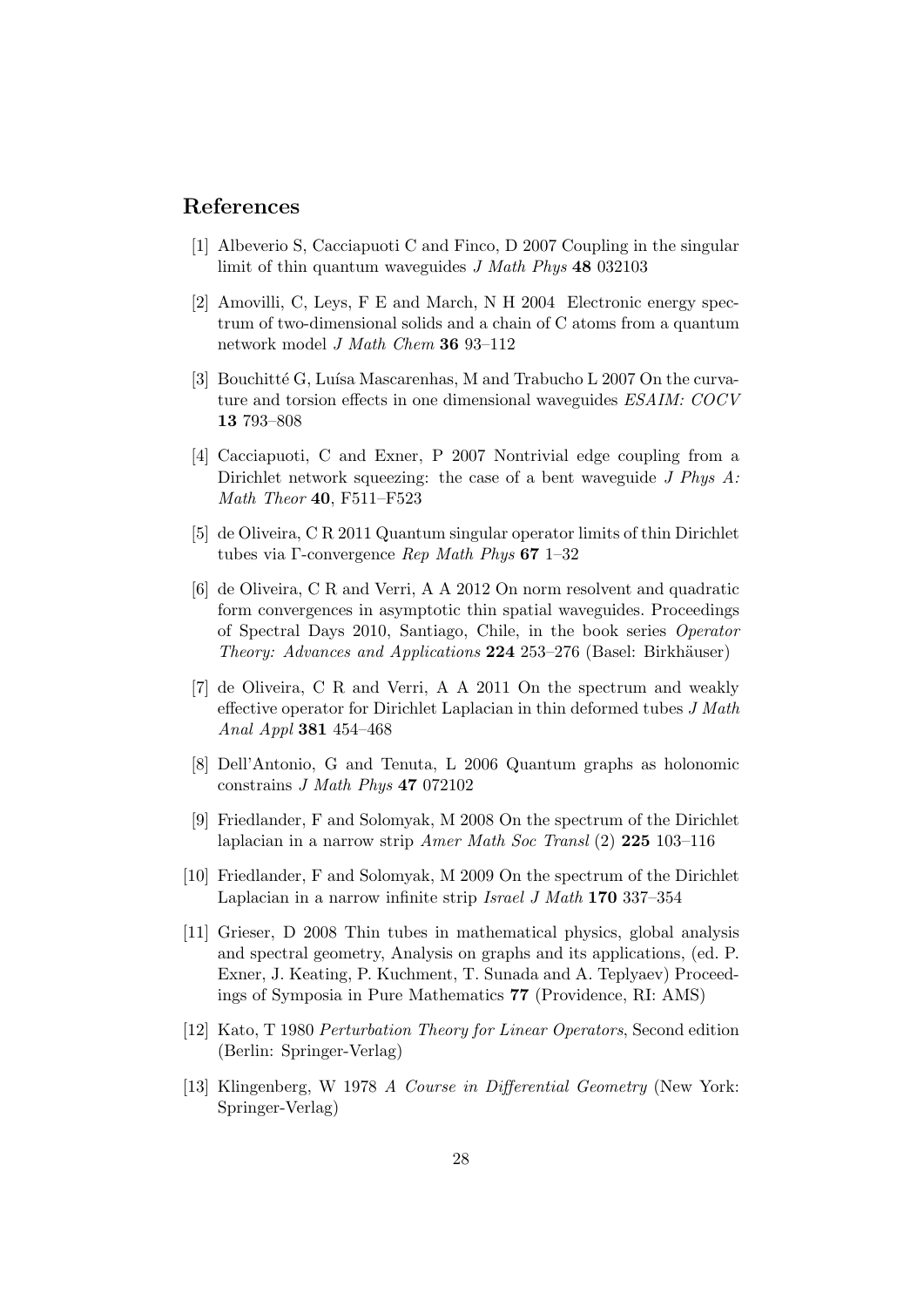### References

- [1] Albeverio S, Cacciapuoti C and Finco, D 2007 Coupling in the singular limit of thin quantum waveguides J Math Phys 48 032103
- [2] Amovilli, C, Leys, F E and March, N H 2004 Electronic energy spectrum of two-dimensional solids and a chain of C atoms from a quantum network model J Math Chem 36 93–112
- [3] Bouchitté G, Luísa Mascarenhas, M and Trabucho L  $2007$  On the curvature and torsion effects in one dimensional waveguides ESAIM: COCV 13 793–808
- [4] Cacciapuoti, C and Exner, P 2007 Nontrivial edge coupling from a Dirichlet network squeezing: the case of a bent waveguide J Phys A: Math Theor 40, F511–F523
- [5] de Oliveira, C R 2011 Quantum singular operator limits of thin Dirichlet tubes via Γ-convergence Rep Math Phys 67 1–32
- [6] de Oliveira, C R and Verri, A A 2012 On norm resolvent and quadratic form convergences in asymptotic thin spatial waveguides. Proceedings of Spectral Days 2010, Santiago, Chile, in the book series Operator Theory: Advances and Applications 224 253–276 (Basel: Birkhäuser)
- [7] de Oliveira, C R and Verri, A A 2011 On the spectrum and weakly effective operator for Dirichlet Laplacian in thin deformed tubes J Math Anal Appl 381 454–468
- [8] Dell'Antonio, G and Tenuta, L 2006 Quantum graphs as holonomic constrains J Math Phys 47 072102
- [9] Friedlander, F and Solomyak, M 2008 On the spectrum of the Dirichlet laplacian in a narrow strip Amer Math Soc Transl (2) 225 103–116
- [10] Friedlander, F and Solomyak, M 2009 On the spectrum of the Dirichlet Laplacian in a narrow infinite strip Israel J Math 170 337–354
- [11] Grieser, D 2008 Thin tubes in mathematical physics, global analysis and spectral geometry, Analysis on graphs and its applications, (ed. P. Exner, J. Keating, P. Kuchment, T. Sunada and A. Teplyaev) Proceedings of Symposia in Pure Mathematics 77 (Providence, RI: AMS)
- [12] Kato, T 1980 Perturbation Theory for Linear Operators, Second edition (Berlin: Springer-Verlag)
- [13] Klingenberg, W 1978 A Course in Differential Geometry (New York: Springer-Verlag)